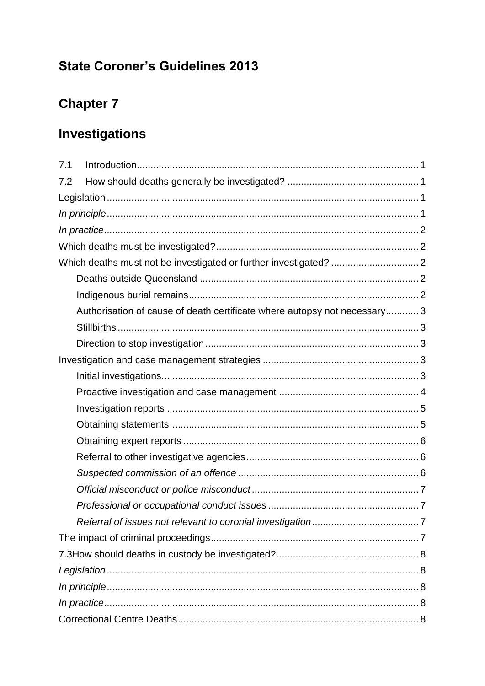# **State Coroner's Guidelines 2013**

# **Chapter 7**

# **Investigations**

| 7.1                                                                       |  |
|---------------------------------------------------------------------------|--|
| 7.2                                                                       |  |
|                                                                           |  |
|                                                                           |  |
|                                                                           |  |
|                                                                           |  |
|                                                                           |  |
|                                                                           |  |
|                                                                           |  |
| Authorisation of cause of death certificate where autopsy not necessary 3 |  |
|                                                                           |  |
|                                                                           |  |
|                                                                           |  |
|                                                                           |  |
|                                                                           |  |
|                                                                           |  |
|                                                                           |  |
|                                                                           |  |
|                                                                           |  |
|                                                                           |  |
|                                                                           |  |
|                                                                           |  |
|                                                                           |  |
|                                                                           |  |
|                                                                           |  |
|                                                                           |  |
|                                                                           |  |
|                                                                           |  |
|                                                                           |  |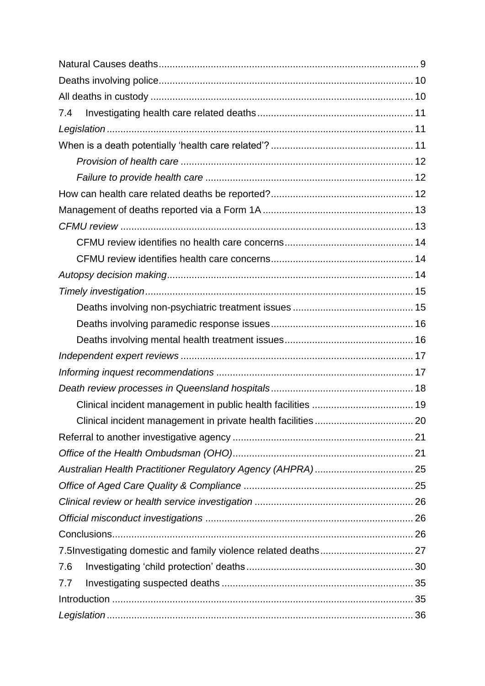| 7.4                                                       |      |
|-----------------------------------------------------------|------|
|                                                           |      |
|                                                           |      |
|                                                           |      |
|                                                           |      |
|                                                           |      |
|                                                           |      |
|                                                           |      |
|                                                           |      |
|                                                           |      |
|                                                           |      |
|                                                           |      |
|                                                           |      |
|                                                           |      |
|                                                           |      |
|                                                           |      |
|                                                           |      |
|                                                           |      |
|                                                           |      |
| Clinical incident management in private health facilities | . 20 |
|                                                           |      |
|                                                           |      |
|                                                           |      |
|                                                           |      |
|                                                           |      |
|                                                           |      |
|                                                           |      |
|                                                           |      |
| 7.6                                                       |      |
| 7.7                                                       |      |
|                                                           |      |
|                                                           |      |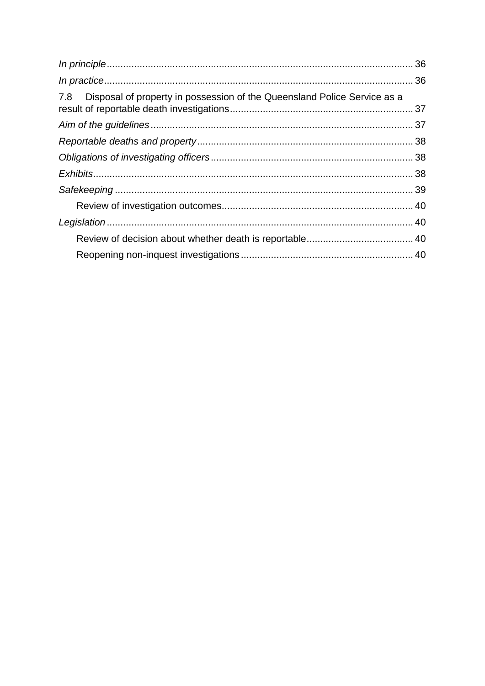| 7.8 Disposal of property in possession of the Queensland Police Service as a |  |
|------------------------------------------------------------------------------|--|
|                                                                              |  |
|                                                                              |  |
|                                                                              |  |
|                                                                              |  |
|                                                                              |  |
|                                                                              |  |
|                                                                              |  |
|                                                                              |  |
|                                                                              |  |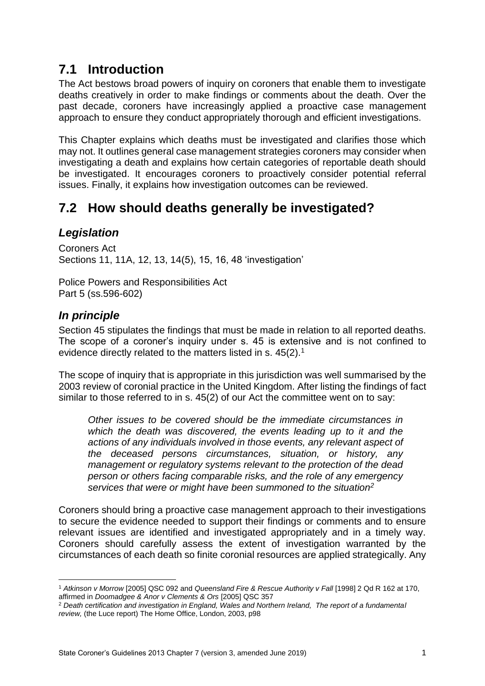## <span id="page-3-0"></span>**7.1 Introduction**

The Act bestows broad powers of inquiry on coroners that enable them to investigate deaths creatively in order to make findings or comments about the death. Over the past decade, coroners have increasingly applied a proactive case management approach to ensure they conduct appropriately thorough and efficient investigations.

This Chapter explains which deaths must be investigated and clarifies those which may not. It outlines general case management strategies coroners may consider when investigating a death and explains how certain categories of reportable death should be investigated. It encourages coroners to proactively consider potential referral issues. Finally, it explains how investigation outcomes can be reviewed.

## <span id="page-3-1"></span>**7.2 How should deaths generally be investigated?**

## <span id="page-3-2"></span>*Legislation*

Coroners Act Sections 11, 11A, 12, 13, 14(5), 15, 16, 48 'investigation'

Police Powers and Responsibilities Act Part 5 (ss.596-602)

## <span id="page-3-3"></span>*In principle*

1

Section 45 stipulates the findings that must be made in relation to all reported deaths. The scope of a coroner's inquiry under s. 45 is extensive and is not confined to evidence directly related to the matters listed in s. 45(2).<sup>1</sup>

The scope of inquiry that is appropriate in this jurisdiction was well summarised by the 2003 review of coronial practice in the United Kingdom. After listing the findings of fact similar to those referred to in s. 45(2) of our Act the committee went on to say:

*Other issues to be covered should be the immediate circumstances in which the death was discovered, the events leading up to it and the actions of any individuals involved in those events, any relevant aspect of the deceased persons circumstances, situation, or history, any management or regulatory systems relevant to the protection of the dead person or others facing comparable risks, and the role of any emergency services that were or might have been summoned to the situation<sup>2</sup>*

Coroners should bring a proactive case management approach to their investigations to secure the evidence needed to support their findings or comments and to ensure relevant issues are identified and investigated appropriately and in a timely way. Coroners should carefully assess the extent of investigation warranted by the circumstances of each death so finite coronial resources are applied strategically. Any

<sup>1</sup> *Atkinson v Morrow* [2005] QSC 092 and *Queensland Fire & Rescue Authority v Fall* [1998] 2 Qd R 162 at 170, affirmed in *Doomadgee & Anor v Clements & Ors* [2005] QSC 357

<sup>2</sup> *Death certification and investigation in England, Wales and Northern Ireland, The report of a fundamental review,* (the Luce report) The Home Office, London, 2003, p98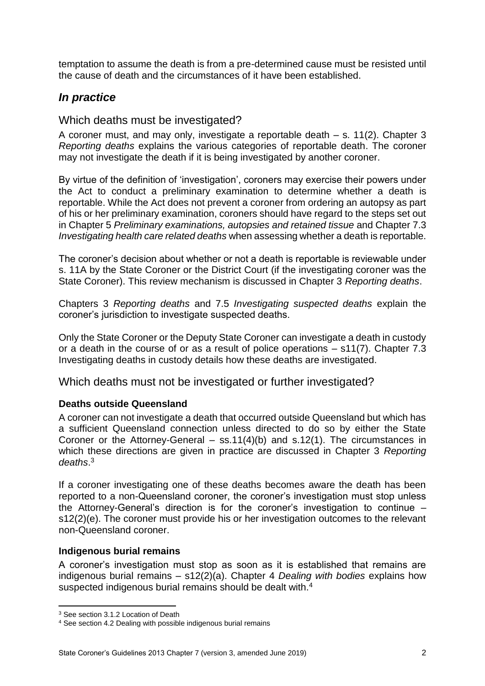temptation to assume the death is from a pre-determined cause must be resisted until the cause of death and the circumstances of it have been established.

## <span id="page-4-0"></span>*In practice*

#### <span id="page-4-1"></span>Which deaths must be investigated?

A coroner must, and may only, investigate a reportable death – s. 11(2). Chapter 3 *Reporting deaths* explains the various categories of reportable death. The coroner may not investigate the death if it is being investigated by another coroner.

By virtue of the definition of 'investigation', coroners may exercise their powers under the Act to conduct a preliminary examination to determine whether a death is reportable. While the Act does not prevent a coroner from ordering an autopsy as part of his or her preliminary examination, coroners should have regard to the steps set out in Chapter 5 *Preliminary examinations, autopsies and retained tissue* and Chapter 7.3 *Investigating health care related deaths* when assessing whether a death is reportable.

The coroner's decision about whether or not a death is reportable is reviewable under s. 11A by the State Coroner or the District Court (if the investigating coroner was the State Coroner). This review mechanism is discussed in Chapter 3 *Reporting deaths*.

Chapters 3 *Reporting deaths* and 7.5 *Investigating suspected deaths* explain the coroner's jurisdiction to investigate suspected deaths.

Only the State Coroner or the Deputy State Coroner can investigate a death in custody or a death in the course of or as a result of police operations – s11(7). Chapter 7.3 Investigating deaths in custody details how these deaths are investigated.

<span id="page-4-2"></span>Which deaths must not be investigated or further investigated?

#### <span id="page-4-3"></span>**Deaths outside Queensland**

A coroner can not investigate a death that occurred outside Queensland but which has a sufficient Queensland connection unless directed to do so by either the State Coroner or the Attorney-General  $-$  ss.11(4)(b) and s.12(1). The circumstances in which these directions are given in practice are discussed in Chapter 3 *Reporting deaths*. 3

If a coroner investigating one of these deaths becomes aware the death has been reported to a non-Queensland coroner, the coroner's investigation must stop unless the Attorney-General's direction is for the coroner's investigation to continue – s12(2)(e). The coroner must provide his or her investigation outcomes to the relevant non-Queensland coroner.

#### <span id="page-4-4"></span>**Indigenous burial remains**

A coroner's investigation must stop as soon as it is established that remains are indigenous burial remains – s12(2)(a). Chapter 4 *Dealing with bodies* explains how suspected indigenous burial remains should be dealt with.<sup>4</sup>

**<sup>.</sup>** <sup>3</sup> See section 3.1.2 Location of Death

<sup>4</sup> See section 4.2 Dealing with possible indigenous burial remains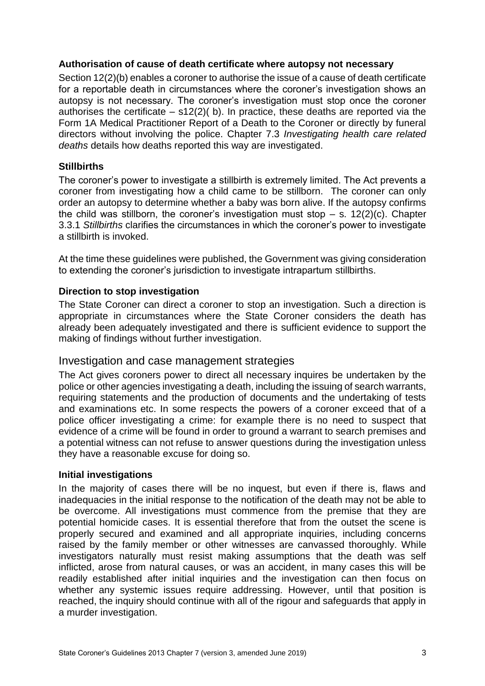#### <span id="page-5-0"></span>**Authorisation of cause of death certificate where autopsy not necessary**

Section 12(2)(b) enables a coroner to authorise the issue of a cause of death certificate for a reportable death in circumstances where the coroner's investigation shows an autopsy is not necessary. The coroner's investigation must stop once the coroner authorises the certificate  $-$  s12(2)( b). In practice, these deaths are reported via the Form 1A Medical Practitioner Report of a Death to the Coroner or directly by funeral directors without involving the police. Chapter 7.3 *Investigating health care related deaths* details how deaths reported this way are investigated.

#### <span id="page-5-1"></span>**Stillbirths**

The coroner's power to investigate a stillbirth is extremely limited. The Act prevents a coroner from investigating how a child came to be stillborn. The coroner can only order an autopsy to determine whether a baby was born alive. If the autopsy confirms the child was stillborn, the coroner's investigation must stop  $-$  s. 12(2)(c). Chapter 3.3.1 *Stillbirths* clarifies the circumstances in which the coroner's power to investigate a stillbirth is invoked.

At the time these guidelines were published, the Government was giving consideration to extending the coroner's jurisdiction to investigate intrapartum stillbirths.

#### <span id="page-5-2"></span>**Direction to stop investigation**

The State Coroner can direct a coroner to stop an investigation. Such a direction is appropriate in circumstances where the State Coroner considers the death has already been adequately investigated and there is sufficient evidence to support the making of findings without further investigation.

#### <span id="page-5-3"></span>Investigation and case management strategies

The Act gives coroners power to direct all necessary inquires be undertaken by the police or other agencies investigating a death, including the issuing of search warrants, requiring statements and the production of documents and the undertaking of tests and examinations etc. In some respects the powers of a coroner exceed that of a police officer investigating a crime: for example there is no need to suspect that evidence of a crime will be found in order to ground a warrant to search premises and a potential witness can not refuse to answer questions during the investigation unless they have a reasonable excuse for doing so.

#### <span id="page-5-4"></span>**Initial investigations**

In the majority of cases there will be no inquest, but even if there is, flaws and inadequacies in the initial response to the notification of the death may not be able to be overcome. All investigations must commence from the premise that they are potential homicide cases. It is essential therefore that from the outset the scene is properly secured and examined and all appropriate inquiries, including concerns raised by the family member or other witnesses are canvassed thoroughly. While investigators naturally must resist making assumptions that the death was self inflicted, arose from natural causes, or was an accident, in many cases this will be readily established after initial inquiries and the investigation can then focus on whether any systemic issues require addressing. However, until that position is reached, the inquiry should continue with all of the rigour and safeguards that apply in a murder investigation.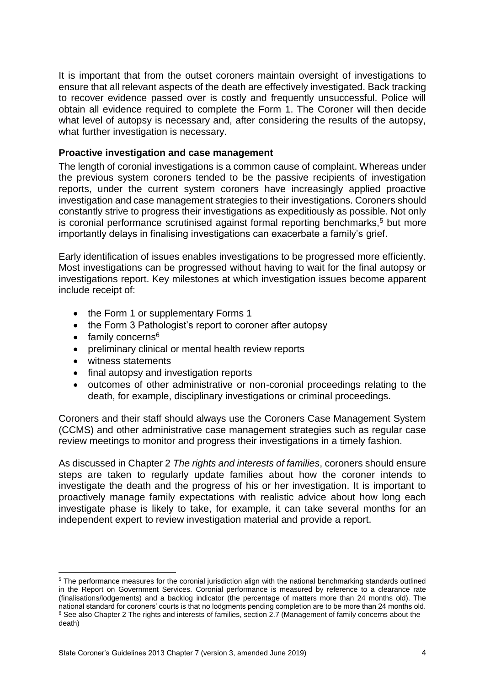It is important that from the outset coroners maintain oversight of investigations to ensure that all relevant aspects of the death are effectively investigated. Back tracking to recover evidence passed over is costly and frequently unsuccessful. Police will obtain all evidence required to complete the Form 1. The Coroner will then decide what level of autopsy is necessary and, after considering the results of the autopsy, what further investigation is necessary.

#### <span id="page-6-0"></span>**Proactive investigation and case management**

The length of coronial investigations is a common cause of complaint. Whereas under the previous system coroners tended to be the passive recipients of investigation reports, under the current system coroners have increasingly applied proactive investigation and case management strategies to their investigations. Coroners should constantly strive to progress their investigations as expeditiously as possible. Not only is coronial performance scrutinised against formal reporting benchmarks,<sup>5</sup> but more importantly delays in finalising investigations can exacerbate a family's grief.

Early identification of issues enables investigations to be progressed more efficiently. Most investigations can be progressed without having to wait for the final autopsy or investigations report. Key milestones at which investigation issues become apparent include receipt of:

- the Form 1 or supplementary Forms 1
- the Form 3 Pathologist's report to coroner after autopsy
- $\bullet$  family concerns<sup>6</sup>
- preliminary clinical or mental health review reports
- witness statements

 $\overline{a}$ 

- final autopsy and investigation reports
- outcomes of other administrative or non-coronial proceedings relating to the death, for example, disciplinary investigations or criminal proceedings.

Coroners and their staff should always use the Coroners Case Management System (CCMS) and other administrative case management strategies such as regular case review meetings to monitor and progress their investigations in a timely fashion.

As discussed in Chapter 2 *The rights and interests of families*, coroners should ensure steps are taken to regularly update families about how the coroner intends to investigate the death and the progress of his or her investigation. It is important to proactively manage family expectations with realistic advice about how long each investigate phase is likely to take, for example, it can take several months for an independent expert to review investigation material and provide a report.

<sup>&</sup>lt;sup>5</sup> The performance measures for the coronial jurisdiction align with the national benchmarking standards outlined in the Report on Government Services. Coronial performance is measured by reference to a clearance rate (finalisations/lodgements) and a backlog indicator (the percentage of matters more than 24 months old). The national standard for coroners' courts is that no lodgments pending completion are to be more than 24 months old. <sup>6</sup> See also Chapter 2 The rights and interests of families, section 2.7 (Management of family concerns about the death)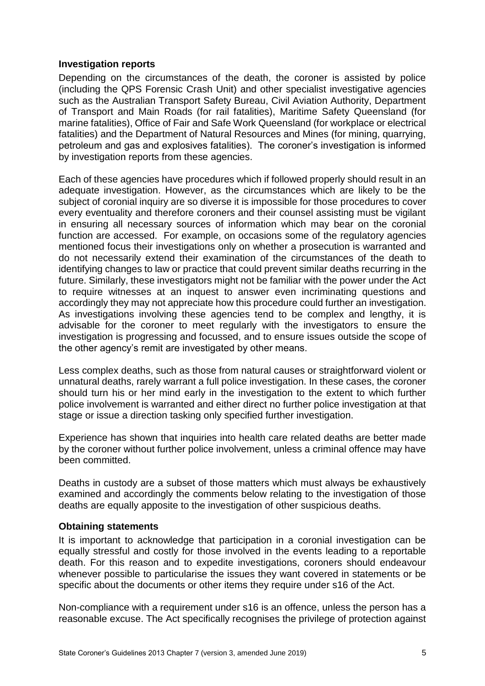#### <span id="page-7-0"></span>**Investigation reports**

Depending on the circumstances of the death, the coroner is assisted by police (including the QPS Forensic Crash Unit) and other specialist investigative agencies such as the Australian Transport Safety Bureau, Civil Aviation Authority, Department of Transport and Main Roads (for rail fatalities), Maritime Safety Queensland (for marine fatalities), Office of Fair and Safe Work Queensland (for workplace or electrical fatalities) and the Department of Natural Resources and Mines (for mining, quarrying, petroleum and gas and explosives fatalities). The coroner's investigation is informed by investigation reports from these agencies.

Each of these agencies have procedures which if followed properly should result in an adequate investigation. However, as the circumstances which are likely to be the subject of coronial inquiry are so diverse it is impossible for those procedures to cover every eventuality and therefore coroners and their counsel assisting must be vigilant in ensuring all necessary sources of information which may bear on the coronial function are accessed. For example, on occasions some of the regulatory agencies mentioned focus their investigations only on whether a prosecution is warranted and do not necessarily extend their examination of the circumstances of the death to identifying changes to law or practice that could prevent similar deaths recurring in the future. Similarly, these investigators might not be familiar with the power under the Act to require witnesses at an inquest to answer even incriminating questions and accordingly they may not appreciate how this procedure could further an investigation. As investigations involving these agencies tend to be complex and lengthy, it is advisable for the coroner to meet regularly with the investigators to ensure the investigation is progressing and focussed, and to ensure issues outside the scope of the other agency's remit are investigated by other means.

Less complex deaths, such as those from natural causes or straightforward violent or unnatural deaths, rarely warrant a full police investigation. In these cases, the coroner should turn his or her mind early in the investigation to the extent to which further police involvement is warranted and either direct no further police investigation at that stage or issue a direction tasking only specified further investigation.

Experience has shown that inquiries into health care related deaths are better made by the coroner without further police involvement, unless a criminal offence may have been committed.

Deaths in custody are a subset of those matters which must always be exhaustively examined and accordingly the comments below relating to the investigation of those deaths are equally apposite to the investigation of other suspicious deaths.

#### <span id="page-7-1"></span>**Obtaining statements**

It is important to acknowledge that participation in a coronial investigation can be equally stressful and costly for those involved in the events leading to a reportable death. For this reason and to expedite investigations, coroners should endeavour whenever possible to particularise the issues they want covered in statements or be specific about the documents or other items they require under s16 of the Act.

Non-compliance with a requirement under s16 is an offence, unless the person has a reasonable excuse. The Act specifically recognises the privilege of protection against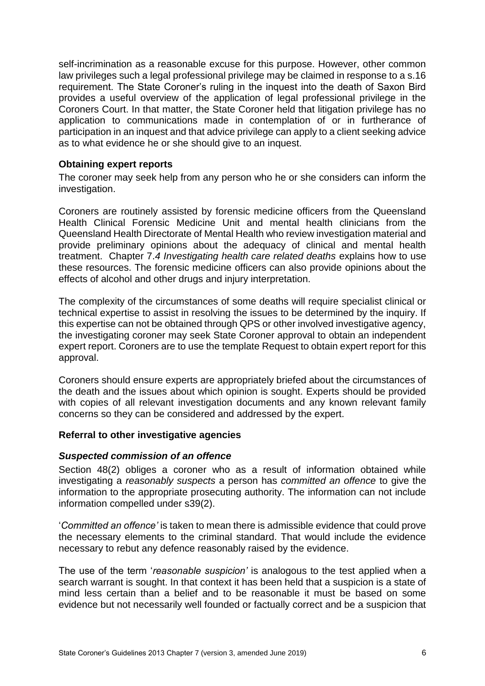self-incrimination as a reasonable excuse for this purpose. However, other common law privileges such a legal professional privilege may be claimed in response to a s.16 requirement. The State Coroner's ruling in the inquest into the death of Saxon Bird provides a useful overview of the application of legal professional privilege in the Coroners Court. In that matter, the State Coroner held that litigation privilege has no application to communications made in contemplation of or in furtherance of participation in an inquest and that advice privilege can apply to a client seeking advice as to what evidence he or she should give to an inquest.

#### <span id="page-8-0"></span>**Obtaining expert reports**

The coroner may seek help from any person who he or she considers can inform the investigation.

Coroners are routinely assisted by forensic medicine officers from the Queensland Health Clinical Forensic Medicine Unit and mental health clinicians from the Queensland Health Directorate of Mental Health who review investigation material and provide preliminary opinions about the adequacy of clinical and mental health treatment. Chapter 7.*4 Investigating health care related deaths* explains how to use these resources. The forensic medicine officers can also provide opinions about the effects of alcohol and other drugs and injury interpretation.

The complexity of the circumstances of some deaths will require specialist clinical or technical expertise to assist in resolving the issues to be determined by the inquiry. If this expertise can not be obtained through QPS or other involved investigative agency, the investigating coroner may seek State Coroner approval to obtain an independent expert report. Coroners are to use the template Request to obtain expert report for this approval.

Coroners should ensure experts are appropriately briefed about the circumstances of the death and the issues about which opinion is sought. Experts should be provided with copies of all relevant investigation documents and any known relevant family concerns so they can be considered and addressed by the expert.

#### <span id="page-8-1"></span>**Referral to other investigative agencies**

#### <span id="page-8-2"></span>*Suspected commission of an offence*

Section 48(2) obliges a coroner who as a result of information obtained while investigating a *reasonably suspects* a person has *committed an offence* to give the information to the appropriate prosecuting authority. The information can not include information compelled under s39(2).

'*Committed an offence'* is taken to mean there is admissible evidence that could prove the necessary elements to the criminal standard. That would include the evidence necessary to rebut any defence reasonably raised by the evidence.

The use of the term '*reasonable suspicion'* is analogous to the test applied when a search warrant is sought. In that context it has been held that a suspicion is a state of mind less certain than a belief and to be reasonable it must be based on some evidence but not necessarily well founded or factually correct and be a suspicion that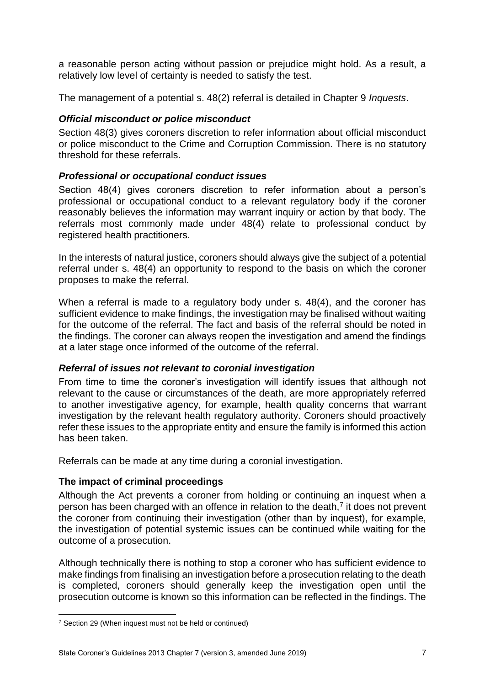a reasonable person acting without passion or prejudice might hold. As a result, a relatively low level of certainty is needed to satisfy the test.

The management of a potential s. 48(2) referral is detailed in Chapter 9 *Inquests*.

#### <span id="page-9-0"></span>*Official misconduct or police misconduct*

Section 48(3) gives coroners discretion to refer information about official misconduct or police misconduct to the Crime and Corruption Commission. There is no statutory threshold for these referrals.

#### <span id="page-9-1"></span>*Professional or occupational conduct issues*

Section 48(4) gives coroners discretion to refer information about a person's professional or occupational conduct to a relevant regulatory body if the coroner reasonably believes the information may warrant inquiry or action by that body. The referrals most commonly made under 48(4) relate to professional conduct by registered health practitioners.

In the interests of natural justice, coroners should always give the subject of a potential referral under s. 48(4) an opportunity to respond to the basis on which the coroner proposes to make the referral.

When a referral is made to a regulatory body under s. 48(4), and the coroner has sufficient evidence to make findings, the investigation may be finalised without waiting for the outcome of the referral. The fact and basis of the referral should be noted in the findings. The coroner can always reopen the investigation and amend the findings at a later stage once informed of the outcome of the referral.

#### <span id="page-9-2"></span>*Referral of issues not relevant to coronial investigation*

From time to time the coroner's investigation will identify issues that although not relevant to the cause or circumstances of the death, are more appropriately referred to another investigative agency, for example, health quality concerns that warrant investigation by the relevant health regulatory authority. Coroners should proactively refer these issues to the appropriate entity and ensure the family is informed this action has been taken.

Referrals can be made at any time during a coronial investigation.

#### <span id="page-9-3"></span>**The impact of criminal proceedings**

Although the Act prevents a coroner from holding or continuing an inquest when a person has been charged with an offence in relation to the death,<sup>7</sup> it does not prevent the coroner from continuing their investigation (other than by inquest), for example, the investigation of potential systemic issues can be continued while waiting for the outcome of a prosecution.

Although technically there is nothing to stop a coroner who has sufficient evidence to make findings from finalising an investigation before a prosecution relating to the death is completed, coroners should generally keep the investigation open until the prosecution outcome is known so this information can be reflected in the findings. The

**.** 

<sup>7</sup> Section 29 (When inquest must not be held or continued)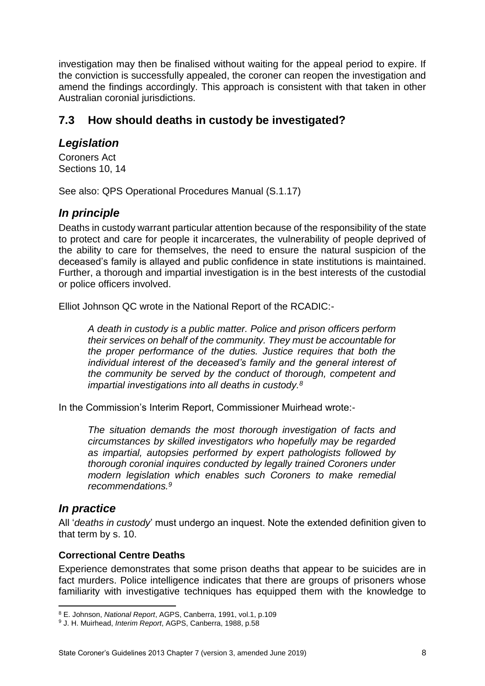investigation may then be finalised without waiting for the appeal period to expire. If the conviction is successfully appealed, the coroner can reopen the investigation and amend the findings accordingly. This approach is consistent with that taken in other Australian coronial jurisdictions.

## <span id="page-10-0"></span>**7.3 How should deaths in custody be investigated?**

## <span id="page-10-1"></span>*Legislation*

Coroners Act Sections 10, 14

<span id="page-10-2"></span>See also: QPS Operational Procedures Manual (S.1.17)

## *In principle*

Deaths in custody warrant particular attention because of the responsibility of the state to protect and care for people it incarcerates, the vulnerability of people deprived of the ability to care for themselves, the need to ensure the natural suspicion of the deceased's family is allayed and public confidence in state institutions is maintained. Further, a thorough and impartial investigation is in the best interests of the custodial or police officers involved.

Elliot Johnson QC wrote in the National Report of the RCADIC:-

*A death in custody is a public matter. Police and prison officers perform their services on behalf of the community. They must be accountable for the proper performance of the duties. Justice requires that both the individual interest of the deceased's family and the general interest of the community be served by the conduct of thorough, competent and impartial investigations into all deaths in custody.<sup>8</sup>*

In the Commission's Interim Report, Commissioner Muirhead wrote:-

*The situation demands the most thorough investigation of facts and circumstances by skilled investigators who hopefully may be regarded as impartial, autopsies performed by expert pathologists followed by thorough coronial inquires conducted by legally trained Coroners under modern legislation which enables such Coroners to make remedial recommendations.<sup>9</sup>*

## <span id="page-10-3"></span>*In practice*

All '*deaths in custody*' must undergo an inquest. Note the extended definition given to that term by s. 10.

#### <span id="page-10-4"></span>**Correctional Centre Deaths**

Experience demonstrates that some prison deaths that appear to be suicides are in fact murders. Police intelligence indicates that there are groups of prisoners whose familiarity with investigative techniques has equipped them with the knowledge to

**<sup>.</sup>** <sup>8</sup> E. Johnson, *National Report*, AGPS, Canberra, 1991, vol.1, p.109

<sup>9</sup> J. H. Muirhead, *Interim Report*, AGPS, Canberra, 1988, p.58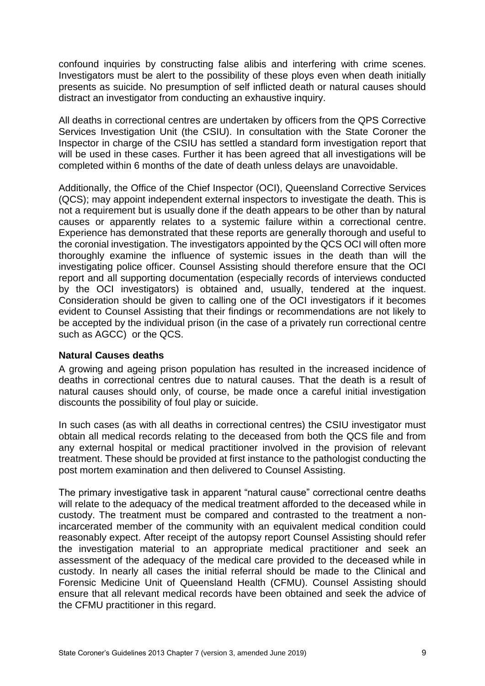confound inquiries by constructing false alibis and interfering with crime scenes. Investigators must be alert to the possibility of these ploys even when death initially presents as suicide. No presumption of self inflicted death or natural causes should distract an investigator from conducting an exhaustive inquiry.

All deaths in correctional centres are undertaken by officers from the QPS Corrective Services Investigation Unit (the CSIU). In consultation with the State Coroner the Inspector in charge of the CSIU has settled a standard form investigation report that will be used in these cases. Further it has been agreed that all investigations will be completed within 6 months of the date of death unless delays are unavoidable.

Additionally, the Office of the Chief Inspector (OCI), Queensland Corrective Services (QCS); may appoint independent external inspectors to investigate the death. This is not a requirement but is usually done if the death appears to be other than by natural causes or apparently relates to a systemic failure within a correctional centre. Experience has demonstrated that these reports are generally thorough and useful to the coronial investigation. The investigators appointed by the QCS OCI will often more thoroughly examine the influence of systemic issues in the death than will the investigating police officer. Counsel Assisting should therefore ensure that the OCI report and all supporting documentation (especially records of interviews conducted by the OCI investigators) is obtained and, usually, tendered at the inquest. Consideration should be given to calling one of the OCI investigators if it becomes evident to Counsel Assisting that their findings or recommendations are not likely to be accepted by the individual prison (in the case of a privately run correctional centre such as AGCC) or the QCS.

#### <span id="page-11-0"></span>**Natural Causes deaths**

A growing and ageing prison population has resulted in the increased incidence of deaths in correctional centres due to natural causes. That the death is a result of natural causes should only, of course, be made once a careful initial investigation discounts the possibility of foul play or suicide.

In such cases (as with all deaths in correctional centres) the CSIU investigator must obtain all medical records relating to the deceased from both the QCS file and from any external hospital or medical practitioner involved in the provision of relevant treatment. These should be provided at first instance to the pathologist conducting the post mortem examination and then delivered to Counsel Assisting.

The primary investigative task in apparent "natural cause" correctional centre deaths will relate to the adequacy of the medical treatment afforded to the deceased while in custody. The treatment must be compared and contrasted to the treatment a nonincarcerated member of the community with an equivalent medical condition could reasonably expect. After receipt of the autopsy report Counsel Assisting should refer the investigation material to an appropriate medical practitioner and seek an assessment of the adequacy of the medical care provided to the deceased while in custody. In nearly all cases the initial referral should be made to the Clinical and Forensic Medicine Unit of Queensland Health (CFMU). Counsel Assisting should ensure that all relevant medical records have been obtained and seek the advice of the CFMU practitioner in this regard.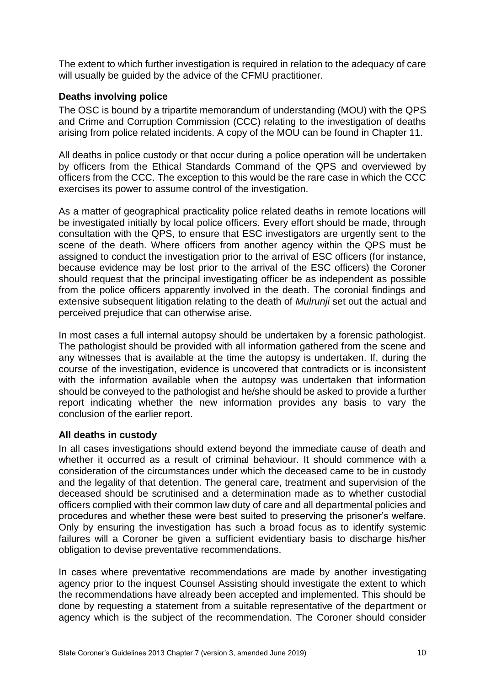The extent to which further investigation is required in relation to the adequacy of care will usually be guided by the advice of the CFMU practitioner.

#### <span id="page-12-0"></span>**Deaths involving police**

The OSC is bound by a tripartite memorandum of understanding (MOU) with the QPS and Crime and Corruption Commission (CCC) relating to the investigation of deaths arising from police related incidents. A copy of the MOU can be found in Chapter 11.

All deaths in police custody or that occur during a police operation will be undertaken by officers from the Ethical Standards Command of the QPS and overviewed by officers from the CCC. The exception to this would be the rare case in which the CCC exercises its power to assume control of the investigation.

As a matter of geographical practicality police related deaths in remote locations will be investigated initially by local police officers. Every effort should be made, through consultation with the QPS, to ensure that ESC investigators are urgently sent to the scene of the death. Where officers from another agency within the QPS must be assigned to conduct the investigation prior to the arrival of ESC officers (for instance, because evidence may be lost prior to the arrival of the ESC officers) the Coroner should request that the principal investigating officer be as independent as possible from the police officers apparently involved in the death. The coronial findings and extensive subsequent litigation relating to the death of *Mulrunji* set out the actual and perceived prejudice that can otherwise arise.

In most cases a full internal autopsy should be undertaken by a forensic pathologist. The pathologist should be provided with all information gathered from the scene and any witnesses that is available at the time the autopsy is undertaken. If, during the course of the investigation, evidence is uncovered that contradicts or is inconsistent with the information available when the autopsy was undertaken that information should be conveyed to the pathologist and he/she should be asked to provide a further report indicating whether the new information provides any basis to vary the conclusion of the earlier report.

#### <span id="page-12-1"></span>**All deaths in custody**

In all cases investigations should extend beyond the immediate cause of death and whether it occurred as a result of criminal behaviour. It should commence with a consideration of the circumstances under which the deceased came to be in custody and the legality of that detention. The general care, treatment and supervision of the deceased should be scrutinised and a determination made as to whether custodial officers complied with their common law duty of care and all departmental policies and procedures and whether these were best suited to preserving the prisoner's welfare. Only by ensuring the investigation has such a broad focus as to identify systemic failures will a Coroner be given a sufficient evidentiary basis to discharge his/her obligation to devise preventative recommendations.

In cases where preventative recommendations are made by another investigating agency prior to the inquest Counsel Assisting should investigate the extent to which the recommendations have already been accepted and implemented. This should be done by requesting a statement from a suitable representative of the department or agency which is the subject of the recommendation. The Coroner should consider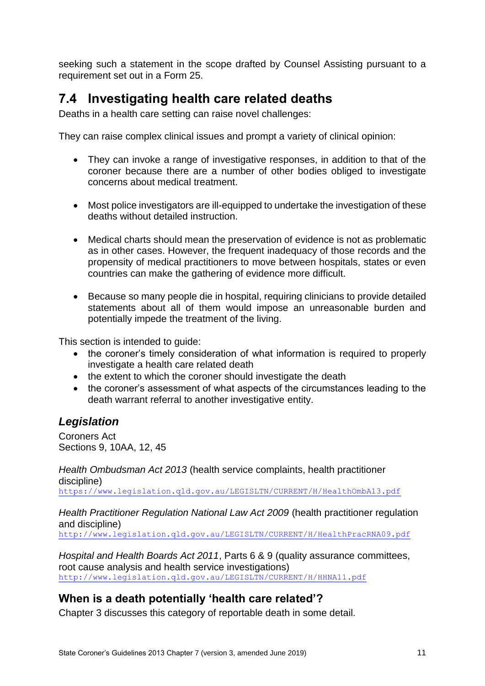seeking such a statement in the scope drafted by Counsel Assisting pursuant to a requirement set out in a Form 25.

## <span id="page-13-0"></span>**7.4 Investigating health care related deaths**

Deaths in a health care setting can raise novel challenges:

They can raise complex clinical issues and prompt a variety of clinical opinion:

- They can invoke a range of investigative responses, in addition to that of the coroner because there are a number of other bodies obliged to investigate concerns about medical treatment.
- Most police investigators are ill-equipped to undertake the investigation of these deaths without detailed instruction.
- Medical charts should mean the preservation of evidence is not as problematic as in other cases. However, the frequent inadequacy of those records and the propensity of medical practitioners to move between hospitals, states or even countries can make the gathering of evidence more difficult.
- Because so many people die in hospital, requiring clinicians to provide detailed statements about all of them would impose an unreasonable burden and potentially impede the treatment of the living.

This section is intended to guide:

- the coroner's timely consideration of what information is required to properly investigate a health care related death
- the extent to which the coroner should investigate the death
- the coroner's assessment of what aspects of the circumstances leading to the death warrant referral to another investigative entity.

## <span id="page-13-1"></span>*Legislation*

Coroners Act Sections 9, 10AA, 12, 45

*[Health](file:///C:/Users/tameac/AppData/Local/Microsoft/Windows/INetCache/Content.Outlook/AppData/Local/Microsoft/Windows/INetCache/Content.Outlook/AppData/Roaming/OpenText/DM/Temp/Health) Ombudsman Act 2013* (health service complaints, health practitioner discipline)

<https://www.legislation.qld.gov.au/LEGISLTN/CURRENT/H/HealthOmbA13.pdf>

#### *Health Practitioner Regulation National Law Act 2009* (health practitioner regulation and discipline)

<http://www.legislation.qld.gov.au/LEGISLTN/CURRENT/H/HealthPracRNA09.pdf>

*Hospital and Health Boards Act 2011*, Parts 6 & 9 (quality assurance committees, root cause analysis and health service investigations) <http://www.legislation.qld.gov.au/LEGISLTN/CURRENT/H/HHNA11.pdf>

## <span id="page-13-2"></span>**When is a death potentially 'health care related'?**

Chapter 3 discusses this category of reportable death in some detail.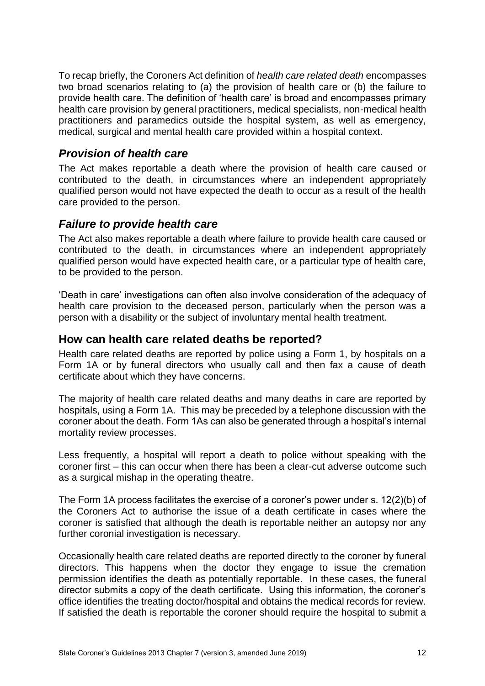To recap briefly, the Coroners Act definition of *health care related death* encompasses two broad scenarios relating to (a) the provision of health care or (b) the failure to provide health care. The definition of 'health care' is broad and encompasses primary health care provision by general practitioners, medical specialists, non-medical health practitioners and paramedics outside the hospital system, as well as emergency, medical, surgical and mental health care provided within a hospital context.

## <span id="page-14-0"></span>*Provision of health care*

The Act makes reportable a death where the provision of health care caused or contributed to the death, in circumstances where an independent appropriately qualified person would not have expected the death to occur as a result of the health care provided to the person.

## <span id="page-14-1"></span>*Failure to provide health care*

The Act also makes reportable a death where failure to provide health care caused or contributed to the death, in circumstances where an independent appropriately qualified person would have expected health care, or a particular type of health care, to be provided to the person.

'Death in care' investigations can often also involve consideration of the adequacy of health care provision to the deceased person, particularly when the person was a person with a disability or the subject of involuntary mental health treatment.

## <span id="page-14-2"></span>**How can health care related deaths be reported?**

Health care related deaths are reported by police using a Form 1, by hospitals on a Form 1A or by funeral directors who usually call and then fax a cause of death certificate about which they have concerns.

The majority of health care related deaths and many deaths in care are reported by hospitals, using a Form 1A. This may be preceded by a telephone discussion with the coroner about the death. Form 1As can also be generated through a hospital's internal mortality review processes.

Less frequently, a hospital will report a death to police without speaking with the coroner first – this can occur when there has been a clear-cut adverse outcome such as a surgical mishap in the operating theatre.

The Form 1A process facilitates the exercise of a coroner's power under s. 12(2)(b) of the Coroners Act to authorise the issue of a death certificate in cases where the coroner is satisfied that although the death is reportable neither an autopsy nor any further coronial investigation is necessary.

Occasionally health care related deaths are reported directly to the coroner by funeral directors. This happens when the doctor they engage to issue the cremation permission identifies the death as potentially reportable. In these cases, the funeral director submits a copy of the death certificate. Using this information, the coroner's office identifies the treating doctor/hospital and obtains the medical records for review. If satisfied the death is reportable the coroner should require the hospital to submit a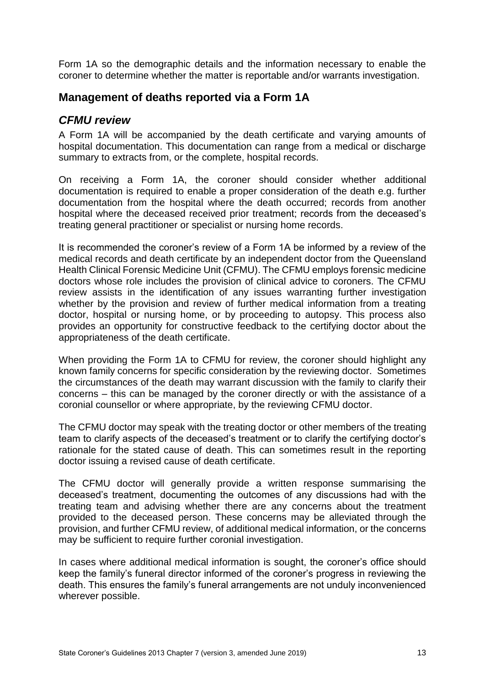Form 1A so the demographic details and the information necessary to enable the coroner to determine whether the matter is reportable and/or warrants investigation.

## <span id="page-15-0"></span>**Management of deaths reported via a Form 1A**

## <span id="page-15-1"></span>*CFMU review*

A Form 1A will be accompanied by the death certificate and varying amounts of hospital documentation. This documentation can range from a medical or discharge summary to extracts from, or the complete, hospital records.

On receiving a Form 1A, the coroner should consider whether additional documentation is required to enable a proper consideration of the death e.g. further documentation from the hospital where the death occurred; records from another hospital where the deceased received prior treatment; records from the deceased's treating general practitioner or specialist or nursing home records.

It is recommended the coroner's review of a Form 1A be informed by a review of the medical records and death certificate by an independent doctor from the Queensland Health Clinical Forensic Medicine Unit (CFMU). The CFMU employs forensic medicine doctors whose role includes the provision of clinical advice to coroners. The CFMU review assists in the identification of any issues warranting further investigation whether by the provision and review of further medical information from a treating doctor, hospital or nursing home, or by proceeding to autopsy. This process also provides an opportunity for constructive feedback to the certifying doctor about the appropriateness of the death certificate.

When providing the Form 1A to CFMU for review, the coroner should highlight any known family concerns for specific consideration by the reviewing doctor. Sometimes the circumstances of the death may warrant discussion with the family to clarify their concerns – this can be managed by the coroner directly or with the assistance of a coronial counsellor or where appropriate, by the reviewing CFMU doctor.

The CFMU doctor may speak with the treating doctor or other members of the treating team to clarify aspects of the deceased's treatment or to clarify the certifying doctor's rationale for the stated cause of death. This can sometimes result in the reporting doctor issuing a revised cause of death certificate.

The CFMU doctor will generally provide a written response summarising the deceased's treatment, documenting the outcomes of any discussions had with the treating team and advising whether there are any concerns about the treatment provided to the deceased person. These concerns may be alleviated through the provision, and further CFMU review, of additional medical information, or the concerns may be sufficient to require further coronial investigation.

In cases where additional medical information is sought, the coroner's office should keep the family's funeral director informed of the coroner's progress in reviewing the death. This ensures the family's funeral arrangements are not unduly inconvenienced wherever possible.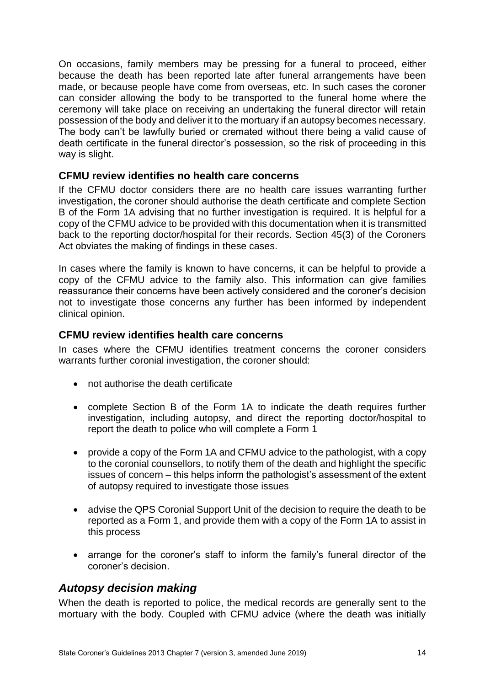On occasions, family members may be pressing for a funeral to proceed, either because the death has been reported late after funeral arrangements have been made, or because people have come from overseas, etc. In such cases the coroner can consider allowing the body to be transported to the funeral home where the ceremony will take place on receiving an undertaking the funeral director will retain possession of the body and deliver it to the mortuary if an autopsy becomes necessary. The body can't be lawfully buried or cremated without there being a valid cause of death certificate in the funeral director's possession, so the risk of proceeding in this way is slight.

#### <span id="page-16-0"></span>**CFMU review identifies no health care concerns**

If the CFMU doctor considers there are no health care issues warranting further investigation, the coroner should authorise the death certificate and complete Section B of the Form 1A advising that no further investigation is required. It is helpful for a copy of the CFMU advice to be provided with this documentation when it is transmitted back to the reporting doctor/hospital for their records. Section 45(3) of the Coroners Act obviates the making of findings in these cases.

In cases where the family is known to have concerns, it can be helpful to provide a copy of the CFMU advice to the family also. This information can give families reassurance their concerns have been actively considered and the coroner's decision not to investigate those concerns any further has been informed by independent clinical opinion.

#### <span id="page-16-1"></span>**CFMU review identifies health care concerns**

In cases where the CFMU identifies treatment concerns the coroner considers warrants further coronial investigation, the coroner should:

- not authorise the death certificate
- complete Section B of the Form 1A to indicate the death requires further investigation, including autopsy, and direct the reporting doctor/hospital to report the death to police who will complete a Form 1
- provide a copy of the Form 1A and CFMU advice to the pathologist, with a copy to the coronial counsellors, to notify them of the death and highlight the specific issues of concern – this helps inform the pathologist's assessment of the extent of autopsy required to investigate those issues
- advise the QPS Coronial Support Unit of the decision to require the death to be reported as a Form 1, and provide them with a copy of the Form 1A to assist in this process
- arrange for the coroner's staff to inform the family's funeral director of the coroner's decision.

## <span id="page-16-2"></span>*Autopsy decision making*

When the death is reported to police, the medical records are generally sent to the mortuary with the body. Coupled with CFMU advice (where the death was initially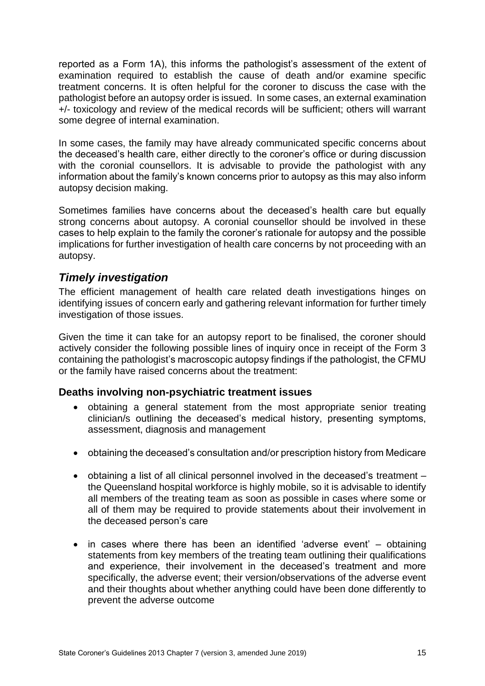reported as a Form 1A), this informs the pathologist's assessment of the extent of examination required to establish the cause of death and/or examine specific treatment concerns. It is often helpful for the coroner to discuss the case with the pathologist before an autopsy order is issued. In some cases, an external examination +/- toxicology and review of the medical records will be sufficient; others will warrant some degree of internal examination.

In some cases, the family may have already communicated specific concerns about the deceased's health care, either directly to the coroner's office or during discussion with the coronial counsellors. It is advisable to provide the pathologist with any information about the family's known concerns prior to autopsy as this may also inform autopsy decision making.

Sometimes families have concerns about the deceased's health care but equally strong concerns about autopsy. A coronial counsellor should be involved in these cases to help explain to the family the coroner's rationale for autopsy and the possible implications for further investigation of health care concerns by not proceeding with an autopsy.

## <span id="page-17-0"></span>*Timely investigation*

The efficient management of health care related death investigations hinges on identifying issues of concern early and gathering relevant information for further timely investigation of those issues.

Given the time it can take for an autopsy report to be finalised, the coroner should actively consider the following possible lines of inquiry once in receipt of the Form 3 containing the pathologist's macroscopic autopsy findings if the pathologist, the CFMU or the family have raised concerns about the treatment:

#### <span id="page-17-1"></span>**Deaths involving non-psychiatric treatment issues**

- obtaining a general statement from the most appropriate senior treating clinician/s outlining the deceased's medical history, presenting symptoms, assessment, diagnosis and management
- obtaining the deceased's consultation and/or prescription history from Medicare
- obtaining a list of all clinical personnel involved in the deceased's treatment the Queensland hospital workforce is highly mobile, so it is advisable to identify all members of the treating team as soon as possible in cases where some or all of them may be required to provide statements about their involvement in the deceased person's care
- in cases where there has been an identified 'adverse event' obtaining statements from key members of the treating team outlining their qualifications and experience, their involvement in the deceased's treatment and more specifically, the adverse event; their version/observations of the adverse event and their thoughts about whether anything could have been done differently to prevent the adverse outcome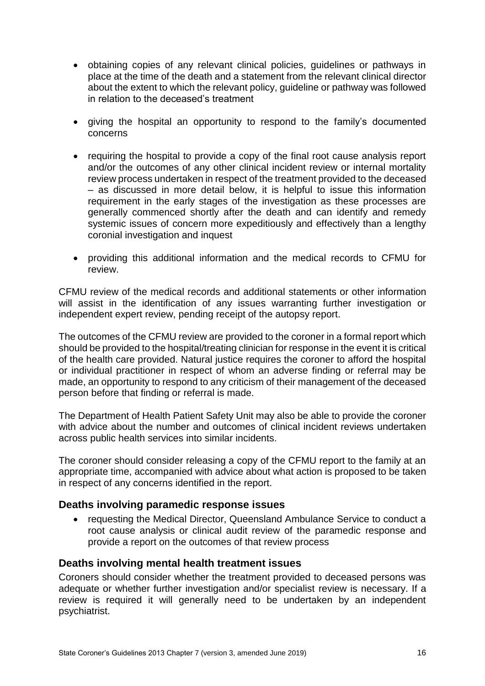- obtaining copies of any relevant clinical policies, guidelines or pathways in place at the time of the death and a statement from the relevant clinical director about the extent to which the relevant policy, guideline or pathway was followed in relation to the deceased's treatment
- giving the hospital an opportunity to respond to the family's documented concerns
- requiring the hospital to provide a copy of the final root cause analysis report and/or the outcomes of any other clinical incident review or internal mortality review process undertaken in respect of the treatment provided to the deceased – as discussed in more detail below, it is helpful to issue this information requirement in the early stages of the investigation as these processes are generally commenced shortly after the death and can identify and remedy systemic issues of concern more expeditiously and effectively than a lengthy coronial investigation and inquest
- providing this additional information and the medical records to CFMU for review.

CFMU review of the medical records and additional statements or other information will assist in the identification of any issues warranting further investigation or independent expert review, pending receipt of the autopsy report.

The outcomes of the CFMU review are provided to the coroner in a formal report which should be provided to the hospital/treating clinician for response in the event it is critical of the health care provided. Natural justice requires the coroner to afford the hospital or individual practitioner in respect of whom an adverse finding or referral may be made, an opportunity to respond to any criticism of their management of the deceased person before that finding or referral is made.

The Department of Health Patient Safety Unit may also be able to provide the coroner with advice about the number and outcomes of clinical incident reviews undertaken across public health services into similar incidents.

The coroner should consider releasing a copy of the CFMU report to the family at an appropriate time, accompanied with advice about what action is proposed to be taken in respect of any concerns identified in the report.

#### <span id="page-18-0"></span>**Deaths involving paramedic response issues**

• requesting the Medical Director, Queensland Ambulance Service to conduct a root cause analysis or clinical audit review of the paramedic response and provide a report on the outcomes of that review process

#### <span id="page-18-1"></span>**Deaths involving mental health treatment issues**

Coroners should consider whether the treatment provided to deceased persons was adequate or whether further investigation and/or specialist review is necessary. If a review is required it will generally need to be undertaken by an independent psychiatrist.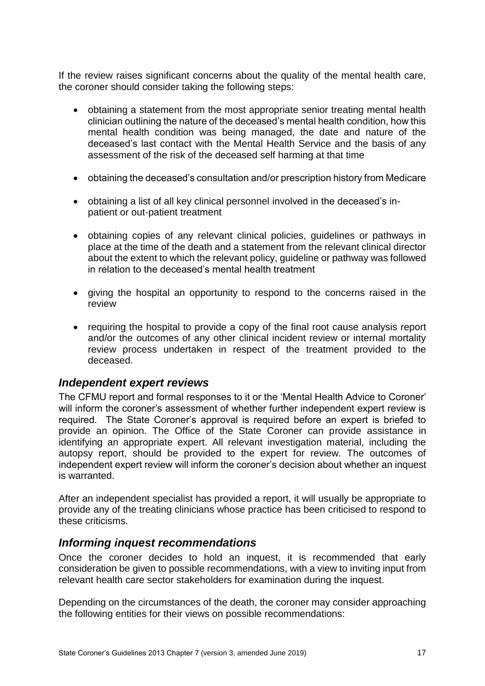If the review raises significant concerns about the quality of the mental health care, the coroner should consider taking the following steps:

- obtaining a statement from the most appropriate senior treating mental health clinician outlining the nature of the deceased's mental health condition, how this mental health condition was being managed, the date and nature of the deceased's last contact with the Mental Health Service and the basis of any assessment of the risk of the deceased self harming at that time
- obtaining the deceased's consultation and/or prescription history from Medicare
- obtaining a list of all key clinical personnel involved in the deceased's inpatient or out-patient treatment
- obtaining copies of any relevant clinical policies, guidelines or pathways in place at the time of the death and a statement from the relevant clinical director about the extent to which the relevant policy, guideline or pathway was followed in relation to the deceased's mental health treatment
- giving the hospital an opportunity to respond to the concerns raised in the review
- requiring the hospital to provide a copy of the final root cause analysis report and/or the outcomes of any other clinical incident review or internal mortality review process undertaken in respect of the treatment provided to the deceased.

#### <span id="page-19-0"></span>*Independent expert reviews*

The CFMU report and formal responses to it or the 'Mental Health Advice to Coroner' will inform the coroner's assessment of whether further independent expert review is required. The State Coroner's approval is required before an expert is briefed to provide an opinion. The Office of the State Coroner can provide assistance in identifying an appropriate expert. All relevant investigation material, including the autopsy report, should be provided to the expert for review. The outcomes of independent expert review will inform the coroner's decision about whether an inquest is warranted.

After an independent specialist has provided a report, it will usually be appropriate to provide any of the treating clinicians whose practice has been criticised to respond to these criticisms.

#### <span id="page-19-1"></span>*Informing inquest recommendations*

Once the coroner decides to hold an inquest, it is recommended that early consideration be given to possible recommendations, with a view to inviting input from relevant health care sector stakeholders for examination during the inquest.

Depending on the circumstances of the death, the coroner may consider approaching the following entities for their views on possible recommendations: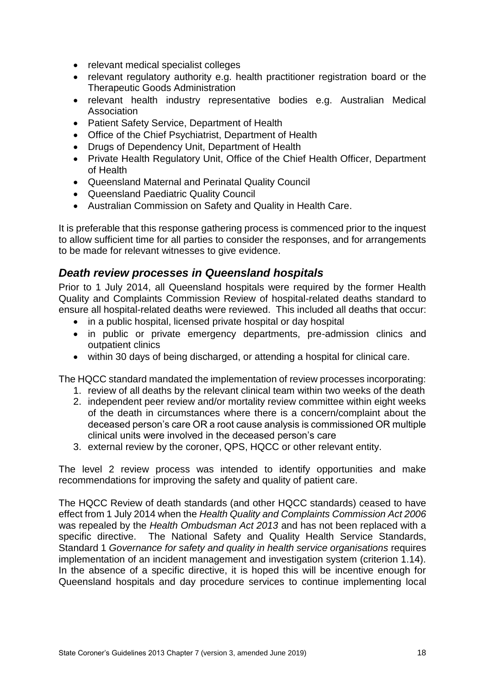- relevant medical specialist colleges
- relevant regulatory authority e.g. health practitioner registration board or the Therapeutic Goods Administration
- relevant health industry representative bodies e.g. Australian Medical Association
- Patient Safety Service, Department of Health
- Office of the Chief Psychiatrist, Department of Health
- Drugs of Dependency Unit, Department of Health
- Private Health Regulatory Unit, Office of the Chief Health Officer, Department of Health
- Queensland Maternal and Perinatal Quality Council
- Queensland Paediatric Quality Council
- Australian Commission on Safety and Quality in Health Care.

It is preferable that this response gathering process is commenced prior to the inquest to allow sufficient time for all parties to consider the responses, and for arrangements to be made for relevant witnesses to give evidence.

### <span id="page-20-0"></span>*Death review processes in Queensland hospitals*

Prior to 1 July 2014, all Queensland hospitals were required by the former Health Quality and Complaints Commission Review of hospital-related deaths standard to ensure all hospital-related deaths were reviewed. This included all deaths that occur:

- in a public hospital, licensed private hospital or day hospital
- in public or private emergency departments, pre-admission clinics and outpatient clinics
- within 30 days of being discharged, or attending a hospital for clinical care.

The HQCC standard mandated the implementation of review processes incorporating:

- 1. review of all deaths by the relevant clinical team within two weeks of the death
- 2. independent peer review and/or mortality review committee within eight weeks of the death in circumstances where there is a concern/complaint about the deceased person's care OR a root cause analysis is commissioned OR multiple clinical units were involved in the deceased person's care
- 3. external review by the coroner, QPS, HQCC or other relevant entity.

The level 2 review process was intended to identify opportunities and make recommendations for improving the safety and quality of patient care.

The HQCC Review of death standards (and other HQCC standards) ceased to have effect from 1 July 2014 when the *Health Quality and Complaints Commission Act 2006* was repealed by the *Health Ombudsman Act 2013* and has not been replaced with a specific directive. The National Safety and Quality Health Service Standards, Standard 1 *Governance for safety and quality in health service organisations* requires implementation of an incident management and investigation system (criterion 1.14). In the absence of a specific directive, it is hoped this will be incentive enough for Queensland hospitals and day procedure services to continue implementing local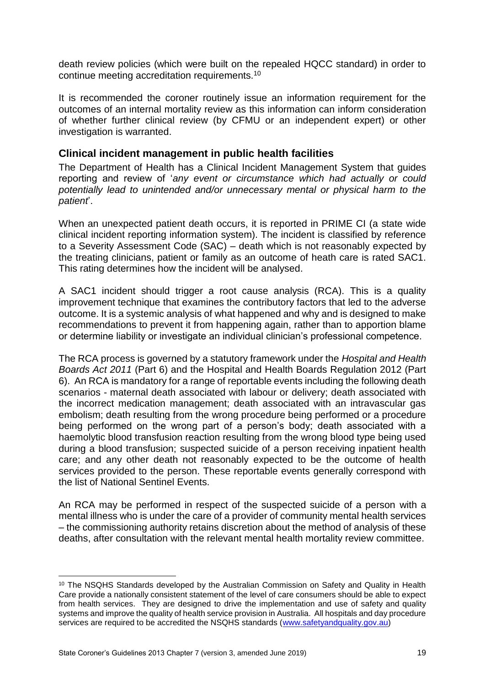death review policies (which were built on the repealed HQCC standard) in order to continue meeting accreditation requirements.<sup>10</sup>

It is recommended the coroner routinely issue an information requirement for the outcomes of an internal mortality review as this information can inform consideration of whether further clinical review (by CFMU or an independent expert) or other investigation is warranted.

#### <span id="page-21-0"></span>**Clinical incident management in public health facilities**

The Department of Health has a Clinical Incident Management System that guides reporting and review of '*any event or circumstance which had actually or could potentially lead to unintended and/or unnecessary mental or physical harm to the patient*'.

When an unexpected patient death occurs, it is reported in PRIME CI (a state wide clinical incident reporting information system). The incident is classified by reference to a Severity Assessment Code (SAC) – death which is not reasonably expected by the treating clinicians, patient or family as an outcome of heath care is rated SAC1. This rating determines how the incident will be analysed.

A SAC1 incident should trigger a root cause analysis (RCA). This is a quality improvement technique that examines the contributory factors that led to the adverse outcome. It is a systemic analysis of what happened and why and is designed to make recommendations to prevent it from happening again, rather than to apportion blame or determine liability or investigate an individual clinician's professional competence.

The RCA process is governed by a statutory framework under the *Hospital and Health Boards Act 2011* (Part 6) and the Hospital and Health Boards Regulation 2012 (Part 6). An RCA is mandatory for a range of reportable events including the following death scenarios - maternal death associated with labour or delivery; death associated with the incorrect medication management; death associated with an intravascular gas embolism; death resulting from the wrong procedure being performed or a procedure being performed on the wrong part of a person's body; death associated with a haemolytic blood transfusion reaction resulting from the wrong blood type being used during a blood transfusion; suspected suicide of a person receiving inpatient health care; and any other death not reasonably expected to be the outcome of health services provided to the person. These reportable events generally correspond with the list of National Sentinel Events.

An RCA may be performed in respect of the suspected suicide of a person with a mental illness who is under the care of a provider of community mental health services – the commissioning authority retains discretion about the method of analysis of these deaths, after consultation with the relevant mental health mortality review committee.

**.** 

<sup>&</sup>lt;sup>10</sup> The NSQHS Standards developed by the Australian Commission on Safety and Quality in Health Care provide a nationally consistent statement of the level of care consumers should be able to expect from health services. They are designed to drive the implementation and use of safety and quality systems and improve the quality of health service provision in Australia. All hospitals and day procedure services are required to be accredited the NSQHS standards [\(www.safetyandquality.gov.au\)](http://www.safetyandquality.gov.au/)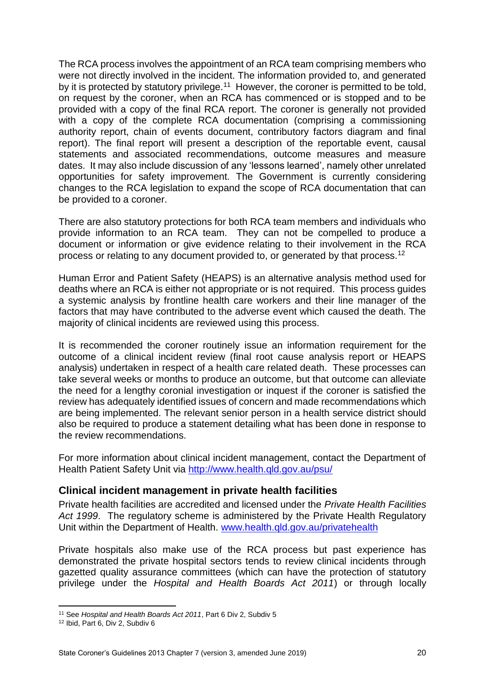The RCA process involves the appointment of an RCA team comprising members who were not directly involved in the incident. The information provided to, and generated by it is protected by statutory privilege.<sup>11</sup> However, the coroner is permitted to be told, on request by the coroner, when an RCA has commenced or is stopped and to be provided with a copy of the final RCA report. The coroner is generally not provided with a copy of the complete RCA documentation (comprising a commissioning authority report, chain of events document, contributory factors diagram and final report). The final report will present a description of the reportable event, causal statements and associated recommendations, outcome measures and measure dates. It may also include discussion of any 'lessons learned', namely other unrelated opportunities for safety improvement. The Government is currently considering changes to the RCA legislation to expand the scope of RCA documentation that can be provided to a coroner.

There are also statutory protections for both RCA team members and individuals who provide information to an RCA team. They can not be compelled to produce a document or information or give evidence relating to their involvement in the RCA process or relating to any document provided to, or generated by that process.<sup>12</sup>

Human Error and Patient Safety (HEAPS) is an alternative analysis method used for deaths where an RCA is either not appropriate or is not required. This process guides a systemic analysis by frontline health care workers and their line manager of the factors that may have contributed to the adverse event which caused the death. The majority of clinical incidents are reviewed using this process.

It is recommended the coroner routinely issue an information requirement for the outcome of a clinical incident review (final root cause analysis report or HEAPS analysis) undertaken in respect of a health care related death. These processes can take several weeks or months to produce an outcome, but that outcome can alleviate the need for a lengthy coronial investigation or inquest if the coroner is satisfied the review has adequately identified issues of concern and made recommendations which are being implemented. The relevant senior person in a health service district should also be required to produce a statement detailing what has been done in response to the review recommendations.

For more information about clinical incident management, contact the Department of Health Patient Safety Unit via<http://www.health.qld.gov.au/psu/>

#### <span id="page-22-0"></span>**Clinical incident management in private health facilities**

Private health facilities are accredited and licensed under the *Private Health Facilities Act 1999*. The regulatory scheme is administered by the Private Health Regulatory Unit within the Department of Health. [www.health.qld.gov.au/privatehealth](http://www.health.qld.gov.au/privatehealth) 

Private hospitals also make use of the RCA process but past experience has demonstrated the private hospital sectors tends to review clinical incidents through gazetted quality assurance committees (which can have the protection of statutory privilege under the *Hospital and Health Boards Act 2011*) or through locally

**<sup>.</sup>** <sup>11</sup> See *Hospital and Health Boards Act 2011*, Part 6 Div 2, Subdiv 5

<sup>12</sup> Ibid, Part 6, Div 2, Subdiv 6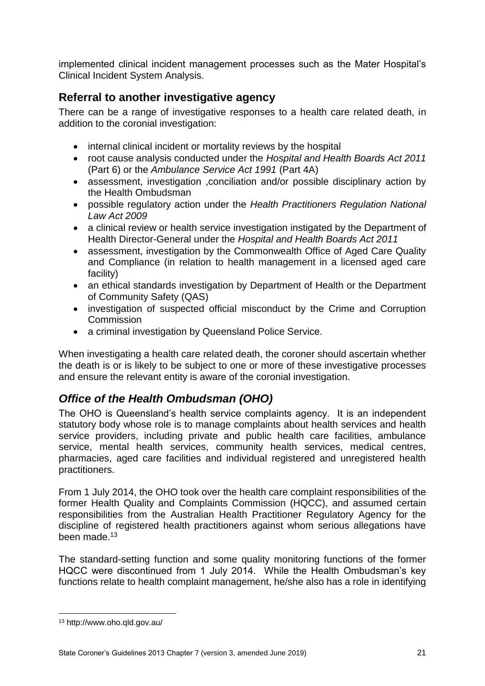implemented clinical incident management processes such as the Mater Hospital's Clinical Incident System Analysis.

## <span id="page-23-0"></span>**Referral to another investigative agency**

There can be a range of investigative responses to a health care related death, in addition to the coronial investigation:

- internal clinical incident or mortality reviews by the hospital
- root cause analysis conducted under the *Hospital and Health Boards Act 2011* (Part 6) or the *Ambulance Service Act 1991* (Part 4A)
- assessment, investigation ,conciliation and/or possible disciplinary action by the Health Ombudsman
- possible regulatory action under the *Health Practitioners Regulation National Law Act 2009*
- a clinical review or health service investigation instigated by the Department of Health Director-General under the *Hospital and Health Boards Act 2011*
- assessment, investigation by the Commonwealth Office of Aged Care Quality and Compliance (in relation to health management in a licensed aged care facility)
- an ethical standards investigation by Department of Health or the Department of Community Safety (QAS)
- investigation of suspected official misconduct by the Crime and Corruption Commission
- a criminal investigation by Queensland Police Service.

When investigating a health care related death, the coroner should ascertain whether the death is or is likely to be subject to one or more of these investigative processes and ensure the relevant entity is aware of the coronial investigation.

## <span id="page-23-1"></span>*Office of the Health Ombudsman (OHO)*

The OHO is Queensland's health service complaints agency. It is an independent statutory body whose role is to manage complaints about health services and health service providers, including private and public health care facilities, ambulance service, mental health services, community health services, medical centres, pharmacies, aged care facilities and individual registered and unregistered health practitioners.

From 1 July 2014, the OHO took over the health care complaint responsibilities of the former Health Quality and Complaints Commission (HQCC), and assumed certain responsibilities from the Australian Health Practitioner Regulatory Agency for the discipline of registered health practitioners against whom serious allegations have been made.<sup>13</sup>

The standard-setting function and some quality monitoring functions of the former HQCC were discontinued from 1 July 2014. While the Health Ombudsman's key functions relate to health complaint management, he/she also has a role in identifying

**<sup>.</sup>** <sup>13</sup> http://www.oho.qld.gov.au/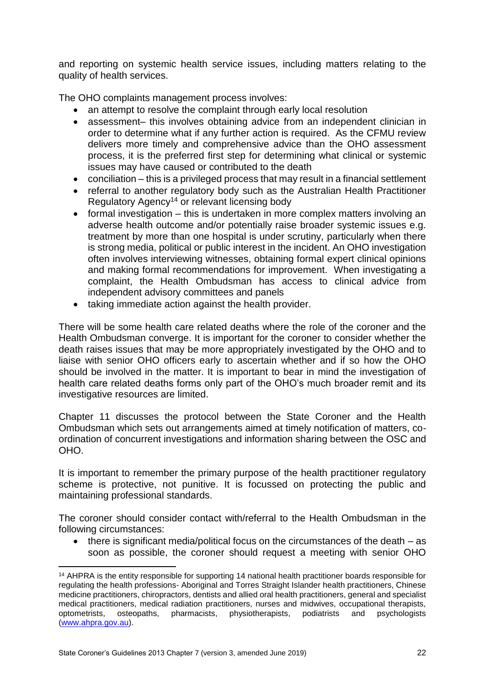and reporting on systemic health service issues, including matters relating to the quality of health services.

The OHO complaints management process involves:

- an attempt to resolve the complaint through early local resolution
- assessment– this involves obtaining advice from an independent clinician in order to determine what if any further action is required. As the CFMU review delivers more timely and comprehensive advice than the OHO assessment process, it is the preferred first step for determining what clinical or systemic issues may have caused or contributed to the death
- conciliation this is a privileged process that may result in a financial settlement
- referral to another regulatory body such as the Australian Health Practitioner Regulatory Agency<sup>14</sup> or relevant licensing body
- formal investigation this is undertaken in more complex matters involving an adverse health outcome and/or potentially raise broader systemic issues e.g. treatment by more than one hospital is under scrutiny, particularly when there is strong media, political or public interest in the incident. An OHO investigation often involves interviewing witnesses, obtaining formal expert clinical opinions and making formal recommendations for improvement. When investigating a complaint, the Health Ombudsman has access to clinical advice from independent advisory committees and panels
- taking immediate action against the health provider.

There will be some health care related deaths where the role of the coroner and the Health Ombudsman converge. It is important for the coroner to consider whether the death raises issues that may be more appropriately investigated by the OHO and to liaise with senior OHO officers early to ascertain whether and if so how the OHO should be involved in the matter. It is important to bear in mind the investigation of health care related deaths forms only part of the OHO's much broader remit and its investigative resources are limited.

Chapter 11 discusses the protocol between the State Coroner and the Health Ombudsman which sets out arrangements aimed at timely notification of matters, coordination of concurrent investigations and information sharing between the OSC and OHO.

It is important to remember the primary purpose of the health practitioner regulatory scheme is protective, not punitive. It is focussed on protecting the public and maintaining professional standards.

The coroner should consider contact with/referral to the Health Ombudsman in the following circumstances:

 $\bullet$  there is significant media/political focus on the circumstances of the death  $-$  as soon as possible, the coroner should request a meeting with senior OHO

1

<sup>14</sup> AHPRA is the entity responsible for supporting 14 national health practitioner boards responsible for regulating the health professions- Aboriginal and Torres Straight Islander health practitioners, Chinese medicine practitioners, chiropractors, dentists and allied oral health practitioners, general and specialist medical practitioners, medical radiation practitioners, nurses and midwives, occupational therapists, optometrists, osteopaths, pharmacists, physiotherapists, podiatrists and psychologists [\(www.ahpra.gov.au\)](http://www.ahpra.gov.au/).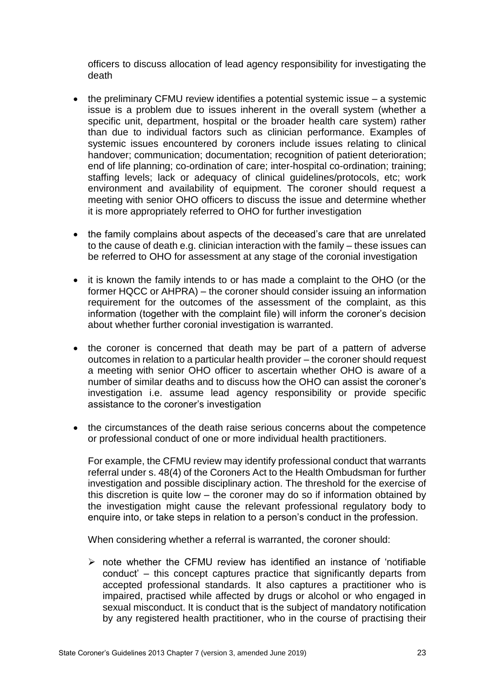officers to discuss allocation of lead agency responsibility for investigating the death

- the preliminary CFMU review identifies a potential systemic issue a systemic issue is a problem due to issues inherent in the overall system (whether a specific unit, department, hospital or the broader health care system) rather than due to individual factors such as clinician performance. Examples of systemic issues encountered by coroners include issues relating to clinical handover; communication; documentation; recognition of patient deterioration; end of life planning; co-ordination of care; inter-hospital co-ordination; training; staffing levels; lack or adequacy of clinical guidelines/protocols, etc; work environment and availability of equipment. The coroner should request a meeting with senior OHO officers to discuss the issue and determine whether it is more appropriately referred to OHO for further investigation
- the family complains about aspects of the deceased's care that are unrelated to the cause of death e.g. clinician interaction with the family – these issues can be referred to OHO for assessment at any stage of the coronial investigation
- it is known the family intends to or has made a complaint to the OHO (or the former HQCC or AHPRA) – the coroner should consider issuing an information requirement for the outcomes of the assessment of the complaint, as this information (together with the complaint file) will inform the coroner's decision about whether further coronial investigation is warranted.
- the coroner is concerned that death may be part of a pattern of adverse outcomes in relation to a particular health provider – the coroner should request a meeting with senior OHO officer to ascertain whether OHO is aware of a number of similar deaths and to discuss how the OHO can assist the coroner's investigation i.e. assume lead agency responsibility or provide specific assistance to the coroner's investigation
- the circumstances of the death raise serious concerns about the competence or professional conduct of one or more individual health practitioners.

For example, the CFMU review may identify professional conduct that warrants referral under s. 48(4) of the Coroners Act to the Health Ombudsman for further investigation and possible disciplinary action. The threshold for the exercise of this discretion is quite low – the coroner may do so if information obtained by the investigation might cause the relevant professional regulatory body to enquire into, or take steps in relation to a person's conduct in the profession.

When considering whether a referral is warranted, the coroner should:

 $\triangleright$  note whether the CFMU review has identified an instance of 'notifiable conduct' – this concept captures practice that significantly departs from accepted professional standards. It also captures a practitioner who is impaired, practised while affected by drugs or alcohol or who engaged in sexual misconduct. It is conduct that is the subject of mandatory notification by any registered health practitioner, who in the course of practising their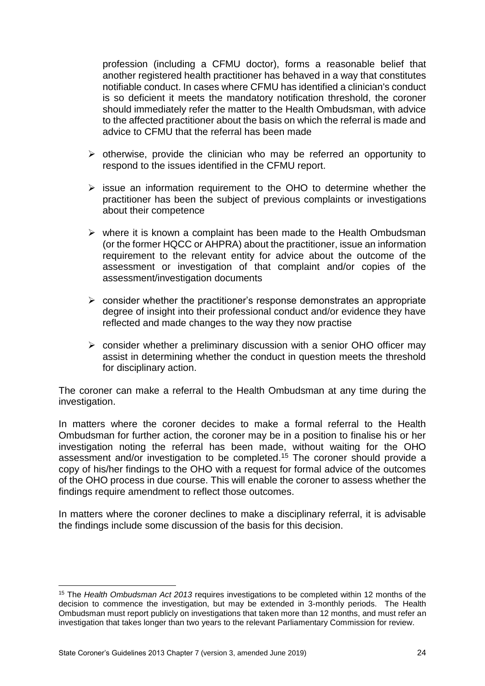profession (including a CFMU doctor), forms a reasonable belief that another registered health practitioner has behaved in a way that constitutes notifiable conduct. In cases where CFMU has identified a clinician's conduct is so deficient it meets the mandatory notification threshold, the coroner should immediately refer the matter to the Health Ombudsman, with advice to the affected practitioner about the basis on which the referral is made and advice to CFMU that the referral has been made

- $\triangleright$  otherwise, provide the clinician who may be referred an opportunity to respond to the issues identified in the CFMU report.
- $\triangleright$  issue an information requirement to the OHO to determine whether the practitioner has been the subject of previous complaints or investigations about their competence
- $\triangleright$  where it is known a complaint has been made to the Health Ombudsman (or the former HQCC or AHPRA) about the practitioner, issue an information requirement to the relevant entity for advice about the outcome of the assessment or investigation of that complaint and/or copies of the assessment/investigation documents
- $\triangleright$  consider whether the practitioner's response demonstrates an appropriate degree of insight into their professional conduct and/or evidence they have reflected and made changes to the way they now practise
- $\triangleright$  consider whether a preliminary discussion with a senior OHO officer may assist in determining whether the conduct in question meets the threshold for disciplinary action.

The coroner can make a referral to the Health Ombudsman at any time during the investigation.

In matters where the coroner decides to make a formal referral to the Health Ombudsman for further action, the coroner may be in a position to finalise his or her investigation noting the referral has been made, without waiting for the OHO assessment and/or investigation to be completed.<sup>15</sup> The coroner should provide a copy of his/her findings to the OHO with a request for formal advice of the outcomes of the OHO process in due course. This will enable the coroner to assess whether the findings require amendment to reflect those outcomes.

In matters where the coroner declines to make a disciplinary referral, it is advisable the findings include some discussion of the basis for this decision.

**.** 

<sup>15</sup> The *Health Ombudsman Act 2013* requires investigations to be completed within 12 months of the decision to commence the investigation, but may be extended in 3-monthly periods. The Health Ombudsman must report publicly on investigations that taken more than 12 months, and must refer an investigation that takes longer than two years to the relevant Parliamentary Commission for review.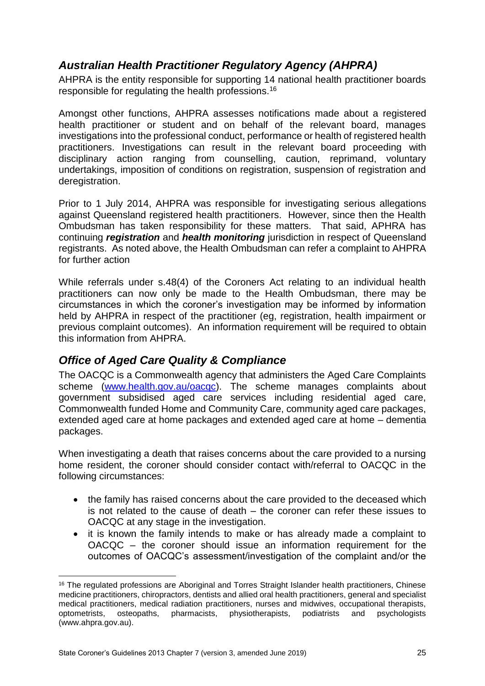## <span id="page-27-0"></span>*Australian Health Practitioner Regulatory Agency (AHPRA)*

AHPRA is the entity responsible for supporting 14 national health practitioner boards responsible for regulating the health professions.<sup>16</sup>

Amongst other functions, AHPRA assesses notifications made about a registered health practitioner or student and on behalf of the relevant board, manages investigations into the professional conduct, performance or health of registered health practitioners. Investigations can result in the relevant board proceeding with disciplinary action ranging from counselling, caution, reprimand, voluntary undertakings, imposition of conditions on registration, suspension of registration and deregistration.

Prior to 1 July 2014, AHPRA was responsible for investigating serious allegations against Queensland registered health practitioners. However, since then the Health Ombudsman has taken responsibility for these matters. That said, APHRA has continuing *registration* and *health monitoring* jurisdiction in respect of Queensland registrants. As noted above, the Health Ombudsman can refer a complaint to AHPRA for further action

While referrals under s.48(4) of the Coroners Act relating to an individual health practitioners can now only be made to the Health Ombudsman, there may be circumstances in which the coroner's investigation may be informed by information held by AHPRA in respect of the practitioner (eg, registration, health impairment or previous complaint outcomes). An information requirement will be required to obtain this information from AHPRA.

## <span id="page-27-1"></span>*Office of Aged Care Quality & Compliance*

The OACQC is a Commonwealth agency that administers the Aged Care Complaints scheme [\(www.health.gov.au/oacqc\)](http://www.health.gov.au/oacqc). The scheme manages complaints about government subsidised aged care services including residential aged care, Commonwealth funded Home and Community Care, community aged care packages, extended aged care at home packages and extended aged care at home – dementia packages.

When investigating a death that raises concerns about the care provided to a nursing home resident, the coroner should consider contact with/referral to OACQC in the following circumstances:

- the family has raised concerns about the care provided to the deceased which is not related to the cause of death – the coroner can refer these issues to OACQC at any stage in the investigation.
- it is known the family intends to make or has already made a complaint to OACQC – the coroner should issue an information requirement for the outcomes of OACQC's assessment/investigation of the complaint and/or the

**.** 

<sup>&</sup>lt;sup>16</sup> The regulated professions are Aboriginal and Torres Straight Islander health practitioners, Chinese medicine practitioners, chiropractors, dentists and allied oral health practitioners, general and specialist medical practitioners, medical radiation practitioners, nurses and midwives, occupational therapists, optometrists, osteopaths, pharmacists, physiotherapists, podiatrists and psychologists (www.ahpra.gov.au).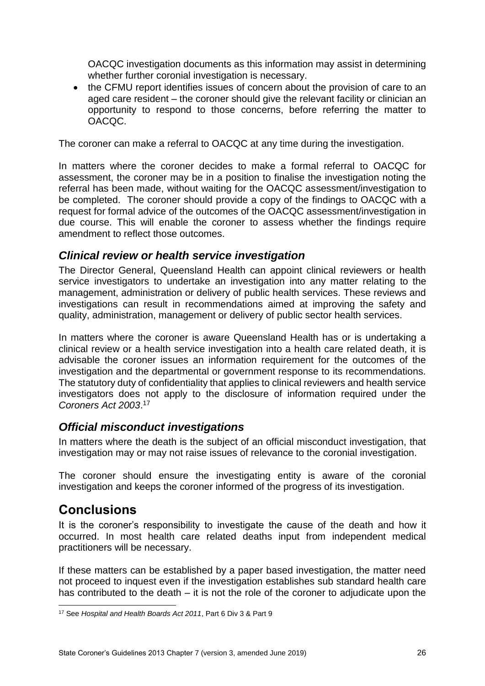OACQC investigation documents as this information may assist in determining whether further coronial investigation is necessary.

• the CFMU report identifies issues of concern about the provision of care to an aged care resident – the coroner should give the relevant facility or clinician an opportunity to respond to those concerns, before referring the matter to OACQC.

The coroner can make a referral to OACQC at any time during the investigation.

In matters where the coroner decides to make a formal referral to OACQC for assessment, the coroner may be in a position to finalise the investigation noting the referral has been made, without waiting for the OACQC assessment/investigation to be completed. The coroner should provide a copy of the findings to OACQC with a request for formal advice of the outcomes of the OACQC assessment/investigation in due course. This will enable the coroner to assess whether the findings require amendment to reflect those outcomes.

## <span id="page-28-0"></span>*Clinical review or health service investigation*

The Director General, Queensland Health can appoint clinical reviewers or health service investigators to undertake an investigation into any matter relating to the management, administration or delivery of public health services. These reviews and investigations can result in recommendations aimed at improving the safety and quality, administration, management or delivery of public sector health services.

In matters where the coroner is aware Queensland Health has or is undertaking a clinical review or a health service investigation into a health care related death, it is advisable the coroner issues an information requirement for the outcomes of the investigation and the departmental or government response to its recommendations. The statutory duty of confidentiality that applies to clinical reviewers and health service investigators does not apply to the disclosure of information required under the *Coroners Act 2003*. 17

## <span id="page-28-1"></span>*Official misconduct investigations*

In matters where the death is the subject of an official misconduct investigation, that investigation may or may not raise issues of relevance to the coronial investigation.

The coroner should ensure the investigating entity is aware of the coronial investigation and keeps the coroner informed of the progress of its investigation.

## <span id="page-28-2"></span>**Conclusions**

It is the coroner's responsibility to investigate the cause of the death and how it occurred. In most health care related deaths input from independent medical practitioners will be necessary.

If these matters can be established by a paper based investigation, the matter need not proceed to inquest even if the investigation establishes sub standard health care has contributed to the death – it is not the role of the coroner to adjudicate upon the

**<sup>.</sup>** <sup>17</sup> See *Hospital and Health Boards Act 2011*, Part 6 Div 3 & Part 9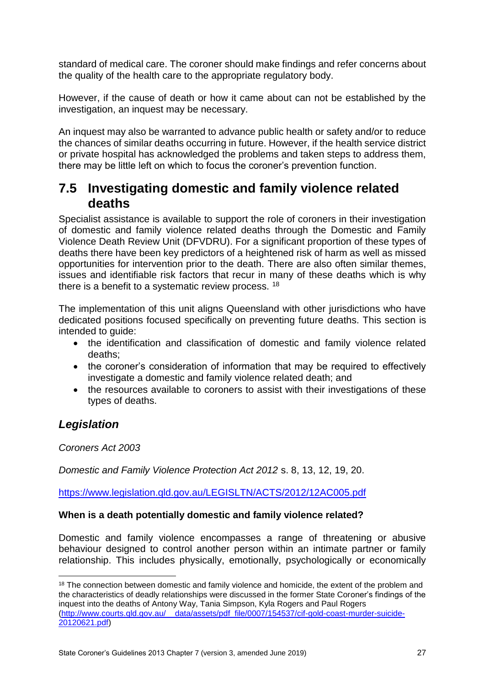standard of medical care. The coroner should make findings and refer concerns about the quality of the health care to the appropriate regulatory body.

However, if the cause of death or how it came about can not be established by the investigation, an inquest may be necessary.

An inquest may also be warranted to advance public health or safety and/or to reduce the chances of similar deaths occurring in future. However, if the health service district or private hospital has acknowledged the problems and taken steps to address them, there may be little left on which to focus the coroner's prevention function.

## <span id="page-29-0"></span>**7.5 Investigating domestic and family violence related deaths**

Specialist assistance is available to support the role of coroners in their investigation of domestic and family violence related deaths through the Domestic and Family Violence Death Review Unit (DFVDRU). For a significant proportion of these types of deaths there have been key predictors of a heightened risk of harm as well as missed opportunities for intervention prior to the death. There are also often similar themes, issues and identifiable risk factors that recur in many of these deaths which is why there is a benefit to a systematic review process. <sup>18</sup>

The implementation of this unit aligns Queensland with other jurisdictions who have dedicated positions focused specifically on preventing future deaths. This section is intended to guide:

- the identification and classification of domestic and family violence related deaths;
- the coroner's consideration of information that may be required to effectively investigate a domestic and family violence related death; and
- the resources available to coroners to assist with their investigations of these types of deaths.

## *Legislation*

**.** 

*Coroners Act 2003* 

*Domestic and Family Violence Protection Act 2012* s. 8, 13, 12, 19, 20.

<https://www.legislation.qld.gov.au/LEGISLTN/ACTS/2012/12AC005.pdf>

#### **When is a death potentially domestic and family violence related?**

Domestic and family violence encompasses a range of threatening or abusive behaviour designed to control another person within an intimate partner or family relationship. This includes physically, emotionally, psychologically or economically

State Coroner's Guidelines 2013 Chapter 7 (version 3, amended June 2019) 27

<sup>&</sup>lt;sup>18</sup> The connection between domestic and family violence and homicide, the extent of the problem and the characteristics of deadly relationships were discussed in the former State Coroner's findings of the inquest into the deaths of Antony Way, Tania Simpson, Kyla Rogers and Paul Rogers [\(http://www.courts.qld.gov.au/\\_\\_data/assets/pdf\\_file/0007/154537/cif-gold-coast-murder-suicide-](http://www.courts.qld.gov.au/__data/assets/pdf_file/0007/154537/cif-gold-coast-murder-suicide-20120621.pdf)[20120621.pdf\)](http://www.courts.qld.gov.au/__data/assets/pdf_file/0007/154537/cif-gold-coast-murder-suicide-20120621.pdf)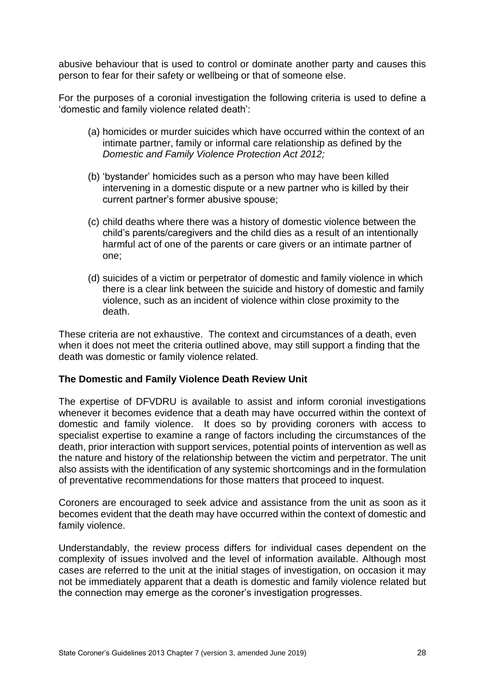abusive behaviour that is used to control or dominate another party and causes this person to fear for their safety or wellbeing or that of someone else.

For the purposes of a coronial investigation the following criteria is used to define a 'domestic and family violence related death':

- (a) homicides or murder suicides which have occurred within the context of an intimate partner, family or informal care relationship as defined by the *Domestic and Family Violence Protection Act 2012;*
- (b) 'bystander' homicides such as a person who may have been killed intervening in a domestic dispute or a new partner who is killed by their current partner's former abusive spouse;
- (c) child deaths where there was a history of domestic violence between the child's parents/caregivers and the child dies as a result of an intentionally harmful act of one of the parents or care givers or an intimate partner of one;
- (d) suicides of a victim or perpetrator of domestic and family violence in which there is a clear link between the suicide and history of domestic and family violence, such as an incident of violence within close proximity to the death.

These criteria are not exhaustive. The context and circumstances of a death, even when it does not meet the criteria outlined above, may still support a finding that the death was domestic or family violence related.

#### **The Domestic and Family Violence Death Review Unit**

The expertise of DFVDRU is available to assist and inform coronial investigations whenever it becomes evidence that a death may have occurred within the context of domestic and family violence. It does so by providing coroners with access to specialist expertise to examine a range of factors including the circumstances of the death, prior interaction with support services, potential points of intervention as well as the nature and history of the relationship between the victim and perpetrator. The unit also assists with the identification of any systemic shortcomings and in the formulation of preventative recommendations for those matters that proceed to inquest.

Coroners are encouraged to seek advice and assistance from the unit as soon as it becomes evident that the death may have occurred within the context of domestic and family violence.

Understandably, the review process differs for individual cases dependent on the complexity of issues involved and the level of information available. Although most cases are referred to the unit at the initial stages of investigation, on occasion it may not be immediately apparent that a death is domestic and family violence related but the connection may emerge as the coroner's investigation progresses.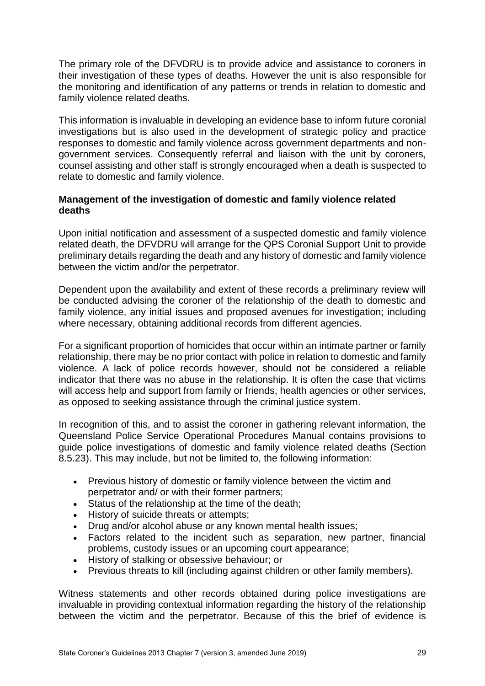The primary role of the DFVDRU is to provide advice and assistance to coroners in their investigation of these types of deaths. However the unit is also responsible for the monitoring and identification of any patterns or trends in relation to domestic and family violence related deaths.

This information is invaluable in developing an evidence base to inform future coronial investigations but is also used in the development of strategic policy and practice responses to domestic and family violence across government departments and nongovernment services. Consequently referral and liaison with the unit by coroners, counsel assisting and other staff is strongly encouraged when a death is suspected to relate to domestic and family violence.

#### **Management of the investigation of domestic and family violence related deaths**

Upon initial notification and assessment of a suspected domestic and family violence related death, the DFVDRU will arrange for the QPS Coronial Support Unit to provide preliminary details regarding the death and any history of domestic and family violence between the victim and/or the perpetrator.

Dependent upon the availability and extent of these records a preliminary review will be conducted advising the coroner of the relationship of the death to domestic and family violence, any initial issues and proposed avenues for investigation; including where necessary, obtaining additional records from different agencies.

For a significant proportion of homicides that occur within an intimate partner or family relationship, there may be no prior contact with police in relation to domestic and family violence. A lack of police records however, should not be considered a reliable indicator that there was no abuse in the relationship. It is often the case that victims will access help and support from family or friends, health agencies or other services, as opposed to seeking assistance through the criminal justice system.

In recognition of this, and to assist the coroner in gathering relevant information, the Queensland Police Service Operational Procedures Manual contains provisions to guide police investigations of domestic and family violence related deaths (Section 8.5.23). This may include, but not be limited to, the following information:

- Previous history of domestic or family violence between the victim and perpetrator and/ or with their former partners;
- Status of the relationship at the time of the death;
- History of suicide threats or attempts;
- Drug and/or alcohol abuse or any known mental health issues;
- Factors related to the incident such as separation, new partner, financial problems, custody issues or an upcoming court appearance;
- History of stalking or obsessive behaviour; or
- Previous threats to kill (including against children or other family members).

Witness statements and other records obtained during police investigations are invaluable in providing contextual information regarding the history of the relationship between the victim and the perpetrator. Because of this the brief of evidence is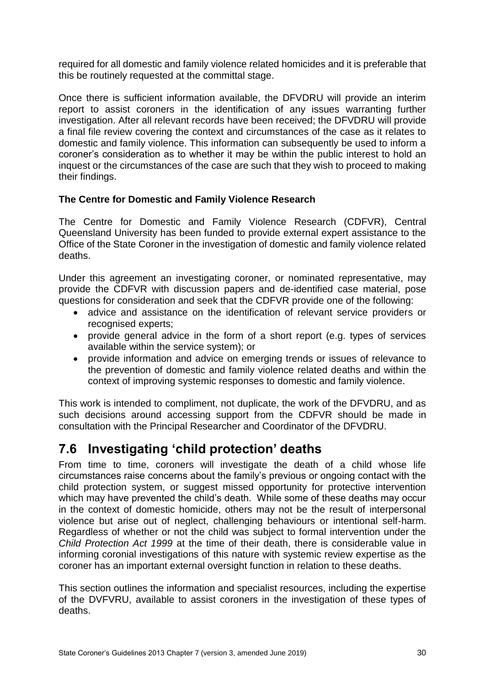required for all domestic and family violence related homicides and it is preferable that this be routinely requested at the committal stage.

Once there is sufficient information available, the DFVDRU will provide an interim report to assist coroners in the identification of any issues warranting further investigation. After all relevant records have been received; the DFVDRU will provide a final file review covering the context and circumstances of the case as it relates to domestic and family violence. This information can subsequently be used to inform a coroner's consideration as to whether it may be within the public interest to hold an inquest or the circumstances of the case are such that they wish to proceed to making their findings.

#### **The Centre for Domestic and Family Violence Research**

The Centre for Domestic and Family Violence Research (CDFVR), Central Queensland University has been funded to provide external expert assistance to the Office of the State Coroner in the investigation of domestic and family violence related deaths.

Under this agreement an investigating coroner, or nominated representative, may provide the CDFVR with discussion papers and de-identified case material, pose questions for consideration and seek that the CDFVR provide one of the following:

- advice and assistance on the identification of relevant service providers or recognised experts;
- provide general advice in the form of a short report (e.g. types of services available within the service system); or
- provide information and advice on emerging trends or issues of relevance to the prevention of domestic and family violence related deaths and within the context of improving systemic responses to domestic and family violence.

This work is intended to compliment, not duplicate, the work of the DFVDRU, and as such decisions around accessing support from the CDFVR should be made in consultation with the Principal Researcher and Coordinator of the DFVDRU.

## <span id="page-32-0"></span>**7.6 Investigating 'child protection' deaths**

From time to time, coroners will investigate the death of a child whose life circumstances raise concerns about the family's previous or ongoing contact with the child protection system, or suggest missed opportunity for protective intervention which may have prevented the child's death. While some of these deaths may occur in the context of domestic homicide, others may not be the result of interpersonal violence but arise out of neglect, challenging behaviours or intentional self-harm. Regardless of whether or not the child was subject to formal intervention under the *Child Protection Act 1999* at the time of their death, there is considerable value in informing coronial investigations of this nature with systemic review expertise as the coroner has an important external oversight function in relation to these deaths.

This section outlines the information and specialist resources, including the expertise of the DVFVRU, available to assist coroners in the investigation of these types of deaths.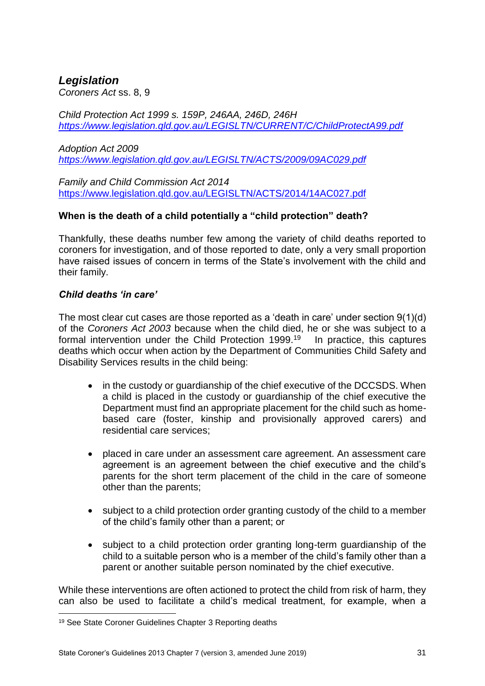## *Legislation*

*Coroners Act* ss. 8, 9

*Child Protection Act 1999 s. 159P, 246AA, 246D, 246H <https://www.legislation.qld.gov.au/LEGISLTN/CURRENT/C/ChildProtectA99.pdf>*

*Adoption Act 2009 <https://www.legislation.qld.gov.au/LEGISLTN/ACTS/2009/09AC029.pdf>*

*Family and Child Commission Act 2014*  <https://www.legislation.qld.gov.au/LEGISLTN/ACTS/2014/14AC027.pdf>

### **When is the death of a child potentially a "child protection" death?**

Thankfully, these deaths number few among the variety of child deaths reported to coroners for investigation, and of those reported to date, only a very small proportion have raised issues of concern in terms of the State's involvement with the child and their family.

#### *Child deaths 'in care'*

The most clear cut cases are those reported as a 'death in care' under section 9(1)(d) of the *Coroners Act 2003* because when the child died, he or she was subject to a formal intervention under the Child Protection 1999.<sup>19</sup> In practice, this captures deaths which occur when action by the Department of Communities Child Safety and Disability Services results in the child being:

- in the custody or quardianship of the chief executive of the DCCSDS. When a child is placed in the custody or guardianship of the chief executive the Department must find an appropriate placement for the child such as homebased care (foster, kinship and provisionally approved carers) and residential care services;
- placed in care under an assessment care agreement. An assessment care agreement is an agreement between the chief executive and the child's parents for the short term placement of the child in the care of someone other than the parents;
- subject to a child protection order granting custody of the child to a member of the child's family other than a parent; or
- subject to a child protection order granting long-term guardianship of the child to a suitable person who is a member of the child's family other than a parent or another suitable person nominated by the chief executive.

While these interventions are often actioned to protect the child from risk of harm, they can also be used to facilitate a child's medical treatment, for example, when a

**<sup>.</sup>** <sup>19</sup> See State Coroner Guidelines Chapter 3 Reporting deaths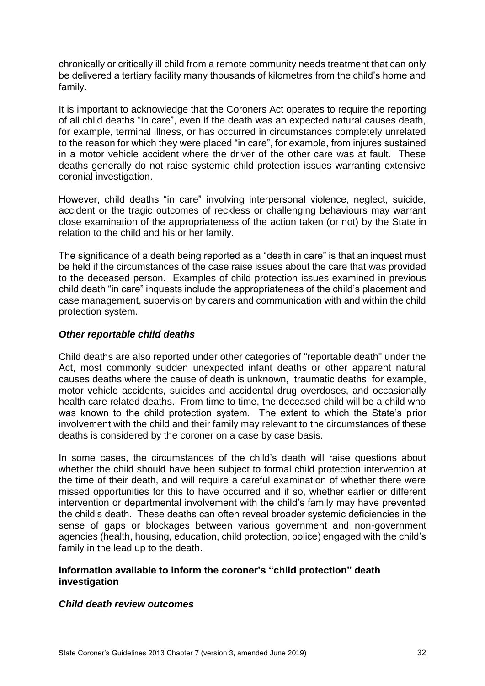chronically or critically ill child from a remote community needs treatment that can only be delivered a tertiary facility many thousands of kilometres from the child's home and family.

It is important to acknowledge that the Coroners Act operates to require the reporting of all child deaths "in care", even if the death was an expected natural causes death, for example, terminal illness, or has occurred in circumstances completely unrelated to the reason for which they were placed "in care", for example, from injures sustained in a motor vehicle accident where the driver of the other care was at fault. These deaths generally do not raise systemic child protection issues warranting extensive coronial investigation.

However, child deaths "in care" involving interpersonal violence, neglect, suicide, accident or the tragic outcomes of reckless or challenging behaviours may warrant close examination of the appropriateness of the action taken (or not) by the State in relation to the child and his or her family.

The significance of a death being reported as a "death in care" is that an inquest must be held if the circumstances of the case raise issues about the care that was provided to the deceased person. Examples of child protection issues examined in previous child death "in care" inquests include the appropriateness of the child's placement and case management, supervision by carers and communication with and within the child protection system.

#### *Other reportable child deaths*

Child deaths are also reported under other categories of "reportable death" under the Act, most commonly sudden unexpected infant deaths or other apparent natural causes deaths where the cause of death is unknown, traumatic deaths, for example, motor vehicle accidents, suicides and accidental drug overdoses, and occasionally health care related deaths. From time to time, the deceased child will be a child who was known to the child protection system. The extent to which the State's prior involvement with the child and their family may relevant to the circumstances of these deaths is considered by the coroner on a case by case basis.

In some cases, the circumstances of the child's death will raise questions about whether the child should have been subject to formal child protection intervention at the time of their death, and will require a careful examination of whether there were missed opportunities for this to have occurred and if so, whether earlier or different intervention or departmental involvement with the child's family may have prevented the child's death. These deaths can often reveal broader systemic deficiencies in the sense of gaps or blockages between various government and non-government agencies (health, housing, education, child protection, police) engaged with the child's family in the lead up to the death.

#### **Information available to inform the coroner's "child protection" death investigation**

#### *Child death review outcomes*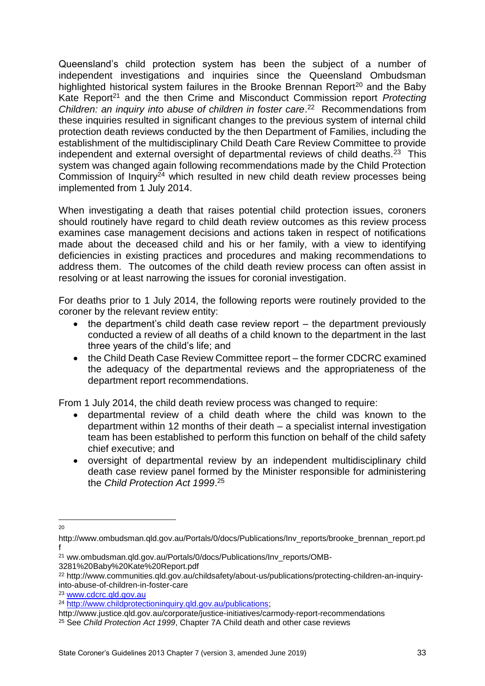Queensland's child protection system has been the subject of a number of independent investigations and inquiries since the Queensland Ombudsman highlighted historical system failures in the Brooke Brennan Report<sup>20</sup> and the Baby Kate Report<sup>21</sup> and the then Crime and Misconduct Commission report *Protecting* Children: an inquiry into abuse of children in foster care.<sup>22</sup> Recommendations from these inquiries resulted in significant changes to the previous system of internal child protection death reviews conducted by the then Department of Families, including the establishment of the multidisciplinary Child Death Care Review Committee to provide independent and external oversight of departmental reviews of child deaths.<sup>23</sup> This system was changed again following recommendations made by the Child Protection Commission of Inquiry<sup>24</sup> which resulted in new child death review processes being implemented from 1 July 2014.

When investigating a death that raises potential child protection issues, coroners should routinely have regard to child death review outcomes as this review process examines case management decisions and actions taken in respect of notifications made about the deceased child and his or her family, with a view to identifying deficiencies in existing practices and procedures and making recommendations to address them. The outcomes of the child death review process can often assist in resolving or at least narrowing the issues for coronial investigation.

For deaths prior to 1 July 2014, the following reports were routinely provided to the coroner by the relevant review entity:

- the department's child death case review report the department previously conducted a review of all deaths of a child known to the department in the last three years of the child's life; and
- the Child Death Case Review Committee report the former CDCRC examined the adequacy of the departmental reviews and the appropriateness of the department report recommendations.

From 1 July 2014, the child death review process was changed to require:

- departmental review of a child death where the child was known to the department within 12 months of their death – a specialist internal investigation team has been established to perform this function on behalf of the child safety chief executive; and
- oversight of departmental review by an independent multidisciplinary child death case review panel formed by the Minister responsible for administering the *Child Protection Act 1999*. 25

**<sup>.</sup>** 20

http://www.ombudsman.qld.gov.au/Portals/0/docs/Publications/Inv\_reports/brooke\_brennan\_report.pd f

<sup>&</sup>lt;sup>21</sup> ww.ombudsman.qld.gov.au/Portals/0/docs/Publications/Inv\_reports/OMB-3281%20Baby%20Kate%20Report.pdf

<sup>22</sup> http://www.communities.qld.gov.au/childsafety/about-us/publications/protecting-children-an-inquiryinto-abuse-of-children-in-foster-care

<sup>23</sup> [www.cdcrc.qld.gov.au](http://www.cdcrc.qld.gov.au/)

<sup>&</sup>lt;sup>24</sup> http://www.childprotectioninguiry.gld.gov.au/publications;

http://www.justice.qld.gov.au/corporate/justice-initiatives/carmody-report-recommendations

<sup>25</sup> See *Child Protection Act 1999*, Chapter 7A Child death and other case reviews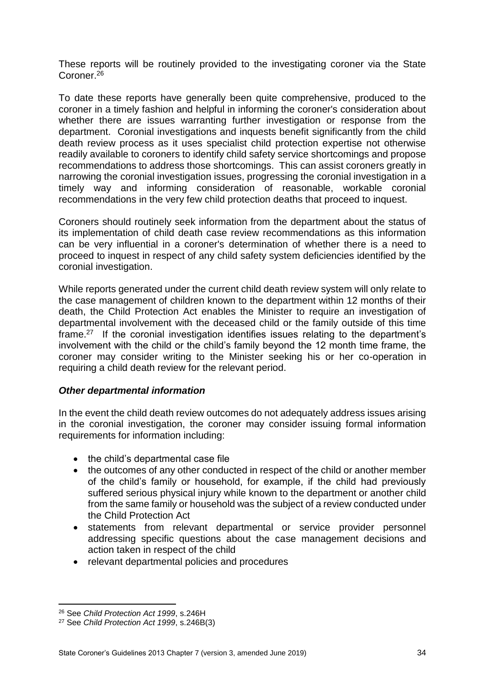These reports will be routinely provided to the investigating coroner via the State Coroner.<sup>26</sup>

To date these reports have generally been quite comprehensive, produced to the coroner in a timely fashion and helpful in informing the coroner's consideration about whether there are issues warranting further investigation or response from the department. Coronial investigations and inquests benefit significantly from the child death review process as it uses specialist child protection expertise not otherwise readily available to coroners to identify child safety service shortcomings and propose recommendations to address those shortcomings. This can assist coroners greatly in narrowing the coronial investigation issues, progressing the coronial investigation in a timely way and informing consideration of reasonable, workable coronial recommendations in the very few child protection deaths that proceed to inquest.

Coroners should routinely seek information from the department about the status of its implementation of child death case review recommendations as this information can be very influential in a coroner's determination of whether there is a need to proceed to inquest in respect of any child safety system deficiencies identified by the coronial investigation.

While reports generated under the current child death review system will only relate to the case management of children known to the department within 12 months of their death, the Child Protection Act enables the Minister to require an investigation of departmental involvement with the deceased child or the family outside of this time frame.<sup>27</sup> If the coronial investigation identifies issues relating to the department's involvement with the child or the child's family beyond the 12 month time frame, the coroner may consider writing to the Minister seeking his or her co-operation in requiring a child death review for the relevant period.

#### *Other departmental information*

In the event the child death review outcomes do not adequately address issues arising in the coronial investigation, the coroner may consider issuing formal information requirements for information including:

- the child's departmental case file
- the outcomes of any other conducted in respect of the child or another member of the child's family or household, for example, if the child had previously suffered serious physical injury while known to the department or another child from the same family or household was the subject of a review conducted under the Child Protection Act
- statements from relevant departmental or service provider personnel addressing specific questions about the case management decisions and action taken in respect of the child
- relevant departmental policies and procedures

**.** 

<sup>26</sup> See *Child Protection Act 1999*, s.246H

<sup>27</sup> See *Child Protection Act 1999*, s.246B(3)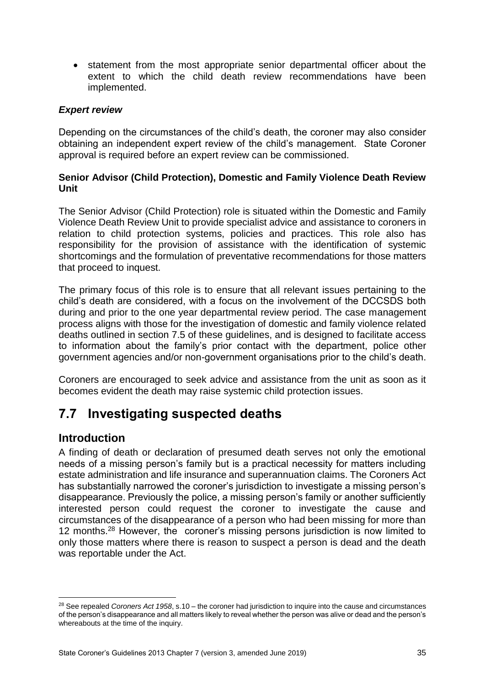statement from the most appropriate senior departmental officer about the extent to which the child death review recommendations have been implemented.

#### *Expert review*

Depending on the circumstances of the child's death, the coroner may also consider obtaining an independent expert review of the child's management. State Coroner approval is required before an expert review can be commissioned.

#### **Senior Advisor (Child Protection), Domestic and Family Violence Death Review Unit**

The Senior Advisor (Child Protection) role is situated within the Domestic and Family Violence Death Review Unit to provide specialist advice and assistance to coroners in relation to child protection systems, policies and practices. This role also has responsibility for the provision of assistance with the identification of systemic shortcomings and the formulation of preventative recommendations for those matters that proceed to inquest.

The primary focus of this role is to ensure that all relevant issues pertaining to the child's death are considered, with a focus on the involvement of the DCCSDS both during and prior to the one year departmental review period. The case management process aligns with those for the investigation of domestic and family violence related deaths outlined in section 7.5 of these guidelines, and is designed to facilitate access to information about the family's prior contact with the department, police other government agencies and/or non-government organisations prior to the child's death.

Coroners are encouraged to seek advice and assistance from the unit as soon as it becomes evident the death may raise systemic child protection issues.

## <span id="page-37-0"></span>**7.7 Investigating suspected deaths**

## <span id="page-37-1"></span>**Introduction**

 $\overline{a}$ 

A finding of death or declaration of presumed death serves not only the emotional needs of a missing person's family but is a practical necessity for matters including estate administration and life insurance and superannuation claims. The Coroners Act has substantially narrowed the coroner's jurisdiction to investigate a missing person's disappearance. Previously the police, a missing person's family or another sufficiently interested person could request the coroner to investigate the cause and circumstances of the disappearance of a person who had been missing for more than 12 months.<sup>28</sup> However, the coroner's missing persons jurisdiction is now limited to only those matters where there is reason to suspect a person is dead and the death was reportable under the Act.

<sup>28</sup> See repealed *Coroners Act 1958*, s.10 – the coroner had jurisdiction to inquire into the cause and circumstances of the person's disappearance and all matters likely to reveal whether the person was alive or dead and the person's whereabouts at the time of the inquiry.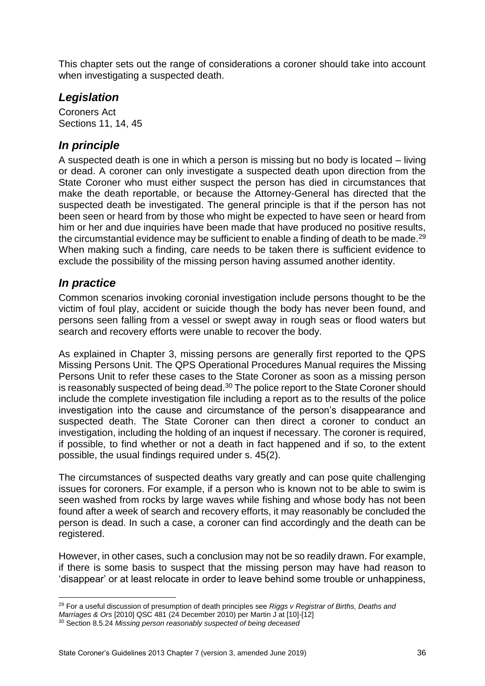This chapter sets out the range of considerations a coroner should take into account when investigating a suspected death.

## <span id="page-38-0"></span>*Legislation*

Coroners Act Sections 11, 14, 45

## <span id="page-38-1"></span>*In principle*

A suspected death is one in which a person is missing but no body is located – living or dead. A coroner can only investigate a suspected death upon direction from the State Coroner who must either suspect the person has died in circumstances that make the death reportable, or because the Attorney-General has directed that the suspected death be investigated. The general principle is that if the person has not been seen or heard from by those who might be expected to have seen or heard from him or her and due inquiries have been made that have produced no positive results, the circumstantial evidence may be sufficient to enable a finding of death to be made.<sup>29</sup> When making such a finding, care needs to be taken there is sufficient evidence to exclude the possibility of the missing person having assumed another identity.

## <span id="page-38-2"></span>*In practice*

Common scenarios invoking coronial investigation include persons thought to be the victim of foul play, accident or suicide though the body has never been found, and persons seen falling from a vessel or swept away in rough seas or flood waters but search and recovery efforts were unable to recover the body.

As explained in Chapter 3, missing persons are generally first reported to the QPS Missing Persons Unit. The QPS Operational Procedures Manual requires the Missing Persons Unit to refer these cases to the State Coroner as soon as a missing person is reasonably suspected of being dead.<sup>30</sup> The police report to the State Coroner should include the complete investigation file including a report as to the results of the police investigation into the cause and circumstance of the person's disappearance and suspected death. The State Coroner can then direct a coroner to conduct an investigation, including the holding of an inquest if necessary. The coroner is required, if possible, to find whether or not a death in fact happened and if so, to the extent possible, the usual findings required under s. 45(2).

The circumstances of suspected deaths vary greatly and can pose quite challenging issues for coroners. For example, if a person who is known not to be able to swim is seen washed from rocks by large waves while fishing and whose body has not been found after a week of search and recovery efforts, it may reasonably be concluded the person is dead. In such a case, a coroner can find accordingly and the death can be registered.

However, in other cases, such a conclusion may not be so readily drawn. For example, if there is some basis to suspect that the missing person may have had reason to 'disappear' or at least relocate in order to leave behind some trouble or unhappiness,

 $\overline{a}$ <sup>29</sup> For a useful discussion of presumption of death principles see *Riggs v Registrar of Births, Deaths and Marriages & Ors* [2010] QSC 481 (24 December 2010) per Martin J at [10]-[12]

<sup>30</sup> Section 8.5.24 *Missing person reasonably suspected of being deceased*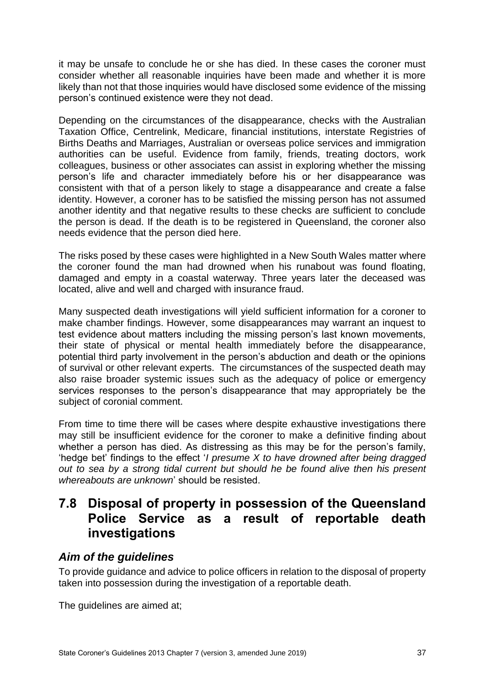it may be unsafe to conclude he or she has died. In these cases the coroner must consider whether all reasonable inquiries have been made and whether it is more likely than not that those inquiries would have disclosed some evidence of the missing person's continued existence were they not dead.

Depending on the circumstances of the disappearance, checks with the Australian Taxation Office, Centrelink, Medicare, financial institutions, interstate Registries of Births Deaths and Marriages, Australian or overseas police services and immigration authorities can be useful. Evidence from family, friends, treating doctors, work colleagues, business or other associates can assist in exploring whether the missing person's life and character immediately before his or her disappearance was consistent with that of a person likely to stage a disappearance and create a false identity. However, a coroner has to be satisfied the missing person has not assumed another identity and that negative results to these checks are sufficient to conclude the person is dead. If the death is to be registered in Queensland, the coroner also needs evidence that the person died here.

The risks posed by these cases were highlighted in a New South Wales matter where the coroner found the man had drowned when his runabout was found floating, damaged and empty in a coastal waterway. Three years later the deceased was located, alive and well and charged with insurance fraud.

Many suspected death investigations will yield sufficient information for a coroner to make chamber findings. However, some disappearances may warrant an inquest to test evidence about matters including the missing person's last known movements, their state of physical or mental health immediately before the disappearance, potential third party involvement in the person's abduction and death or the opinions of survival or other relevant experts. The circumstances of the suspected death may also raise broader systemic issues such as the adequacy of police or emergency services responses to the person's disappearance that may appropriately be the subject of coronial comment.

From time to time there will be cases where despite exhaustive investigations there may still be insufficient evidence for the coroner to make a definitive finding about whether a person has died. As distressing as this may be for the person's family, 'hedge bet' findings to the effect '*I presume X to have drowned after being dragged out to sea by a strong tidal current but should he be found alive then his present whereabouts are unknown*' should be resisted.

## <span id="page-39-0"></span>**7.8 Disposal of property in possession of the Queensland Police Service as a result of reportable death investigations**

## <span id="page-39-1"></span>*Aim of the guidelines*

To provide guidance and advice to police officers in relation to the disposal of property taken into possession during the investigation of a reportable death.

The guidelines are aimed at;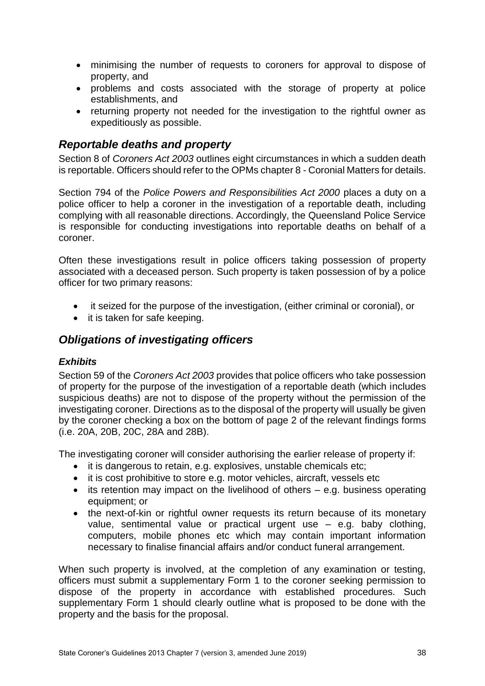- minimising the number of requests to coroners for approval to dispose of property, and
- problems and costs associated with the storage of property at police establishments, and
- returning property not needed for the investigation to the rightful owner as expeditiously as possible.

## <span id="page-40-0"></span>*Reportable deaths and property*

Section 8 of *Coroners Act 2003* outlines eight circumstances in which a sudden death is reportable. Officers should refer to the OPMs chapter 8 - Coronial Matters for details.

Section 794 of the *Police Powers and Responsibilities Act 2000* places a duty on a police officer to help a coroner in the investigation of a reportable death, including complying with all reasonable directions. Accordingly, the Queensland Police Service is responsible for conducting investigations into reportable deaths on behalf of a coroner.

Often these investigations result in police officers taking possession of property associated with a deceased person. Such property is taken possession of by a police officer for two primary reasons:

- it seized for the purpose of the investigation, (either criminal or coronial), or
- it is taken for safe keeping.

## <span id="page-40-1"></span>*Obligations of investigating officers*

#### <span id="page-40-2"></span>*Exhibits*

Section 59 of the *Coroners Act 2003* provides that police officers who take possession of property for the purpose of the investigation of a reportable death (which includes suspicious deaths) are not to dispose of the property without the permission of the investigating coroner. Directions as to the disposal of the property will usually be given by the coroner checking a box on the bottom of page 2 of the relevant findings forms (i.e. 20A, 20B, 20C, 28A and 28B).

The investigating coroner will consider authorising the earlier release of property if:

- it is dangerous to retain, e.g. explosives, unstable chemicals etc;
- it is cost prohibitive to store e.g. motor vehicles, aircraft, vessels etc
- $\bullet$  its retention may impact on the livelihood of others e.g. business operating equipment; or
- the next-of-kin or rightful owner requests its return because of its monetary value, sentimental value or practical urgent use – e.g. baby clothing, computers, mobile phones etc which may contain important information necessary to finalise financial affairs and/or conduct funeral arrangement.

When such property is involved, at the completion of any examination or testing, officers must submit a supplementary Form 1 to the coroner seeking permission to dispose of the property in accordance with established procedures. Such supplementary Form 1 should clearly outline what is proposed to be done with the property and the basis for the proposal.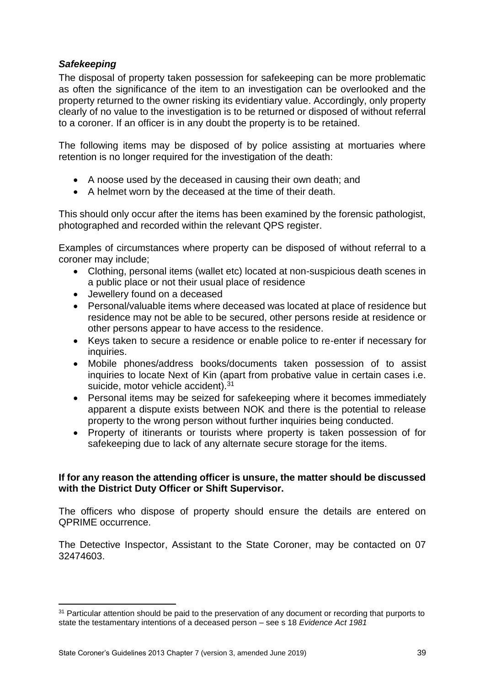#### <span id="page-41-0"></span>*Safekeeping*

The disposal of property taken possession for safekeeping can be more problematic as often the significance of the item to an investigation can be overlooked and the property returned to the owner risking its evidentiary value. Accordingly, only property clearly of no value to the investigation is to be returned or disposed of without referral to a coroner. If an officer is in any doubt the property is to be retained.

The following items may be disposed of by police assisting at mortuaries where retention is no longer required for the investigation of the death:

- A noose used by the deceased in causing their own death; and
- A helmet worn by the deceased at the time of their death.

This should only occur after the items has been examined by the forensic pathologist, photographed and recorded within the relevant QPS register.

Examples of circumstances where property can be disposed of without referral to a coroner may include;

- Clothing, personal items (wallet etc) located at non-suspicious death scenes in a public place or not their usual place of residence
- Jewellery found on a deceased
- Personal/valuable items where deceased was located at place of residence but residence may not be able to be secured, other persons reside at residence or other persons appear to have access to the residence.
- Keys taken to secure a residence or enable police to re-enter if necessary for inquiries.
- Mobile phones/address books/documents taken possession of to assist inquiries to locate Next of Kin (apart from probative value in certain cases i.e. suicide, motor vehicle accident).<sup>31</sup>
- Personal items may be seized for safekeeping where it becomes immediately apparent a dispute exists between NOK and there is the potential to release property to the wrong person without further inquiries being conducted.
- Property of itinerants or tourists where property is taken possession of for safekeeping due to lack of any alternate secure storage for the items.

#### **If for any reason the attending officer is unsure, the matter should be discussed with the District Duty Officer or Shift Supervisor.**

The officers who dispose of property should ensure the details are entered on QPRIME occurrence.

The Detective Inspector, Assistant to the State Coroner, may be contacted on 07 32474603.

**<sup>.</sup>** <sup>31</sup> Particular attention should be paid to the preservation of any document or recording that purports to state the testamentary intentions of a deceased person – see s 18 *Evidence Act 1981*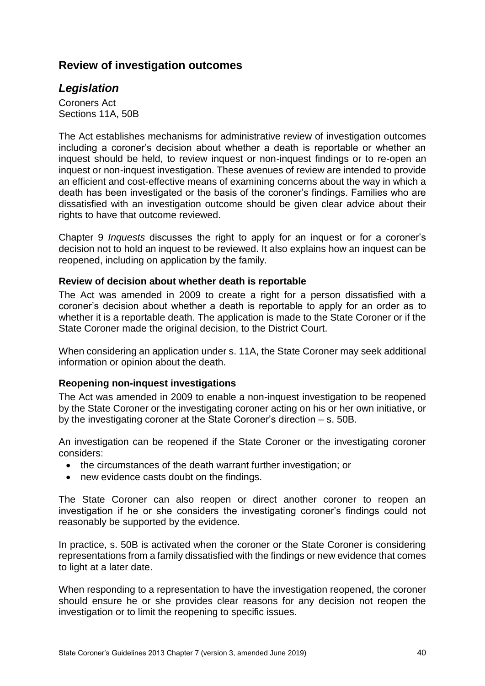## <span id="page-42-0"></span>**Review of investigation outcomes**

### <span id="page-42-1"></span>*Legislation*

Coroners Act Sections 11A, 50B

The Act establishes mechanisms for administrative review of investigation outcomes including a coroner's decision about whether a death is reportable or whether an inquest should be held, to review inquest or non-inquest findings or to re-open an inquest or non-inquest investigation. These avenues of review are intended to provide an efficient and cost-effective means of examining concerns about the way in which a death has been investigated or the basis of the coroner's findings. Families who are dissatisfied with an investigation outcome should be given clear advice about their rights to have that outcome reviewed.

Chapter 9 *Inquests* discusses the right to apply for an inquest or for a coroner's decision not to hold an inquest to be reviewed. It also explains how an inquest can be reopened, including on application by the family.

#### <span id="page-42-2"></span>**Review of decision about whether death is reportable**

The Act was amended in 2009 to create a right for a person dissatisfied with a coroner's decision about whether a death is reportable to apply for an order as to whether it is a reportable death. The application is made to the State Coroner or if the State Coroner made the original decision, to the District Court.

When considering an application under s. 11A, the State Coroner may seek additional information or opinion about the death.

#### <span id="page-42-3"></span>**Reopening non-inquest investigations**

The Act was amended in 2009 to enable a non-inquest investigation to be reopened by the State Coroner or the investigating coroner acting on his or her own initiative, or by the investigating coroner at the State Coroner's direction – s. 50B.

An investigation can be reopened if the State Coroner or the investigating coroner considers:

- the circumstances of the death warrant further investigation; or
- new evidence casts doubt on the findings.

The State Coroner can also reopen or direct another coroner to reopen an investigation if he or she considers the investigating coroner's findings could not reasonably be supported by the evidence.

In practice, s. 50B is activated when the coroner or the State Coroner is considering representations from a family dissatisfied with the findings or new evidence that comes to light at a later date.

When responding to a representation to have the investigation reopened, the coroner should ensure he or she provides clear reasons for any decision not reopen the investigation or to limit the reopening to specific issues.